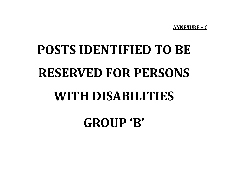**ANNEXURE – C**

## **POSTS IDENTIFIED TO BE RESERVED FOR PERSONS WITH DISABILITIES**

**GROUP 'B'**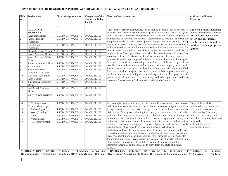## **POSTS IDENTIFIED FOR BEING HELD BY PERSONS WITH DISABILITIES (OH including CP & LC, VH AND HH) IN GROUP B**

| SI.N<br>$\mathbf{o}$ | Designation                                        | <b>Physical requirements</b> | <b>Categories of the</b><br>disabled suitable<br>for jobs | Nature of work performed                                                                                                                                                                                                                                                                                                                                                                                                                                                                                                                                                                                                                                                                                                       | working conditions/<br><b>Remarks</b>                        |
|----------------------|----------------------------------------------------|------------------------------|-----------------------------------------------------------|--------------------------------------------------------------------------------------------------------------------------------------------------------------------------------------------------------------------------------------------------------------------------------------------------------------------------------------------------------------------------------------------------------------------------------------------------------------------------------------------------------------------------------------------------------------------------------------------------------------------------------------------------------------------------------------------------------------------------------|--------------------------------------------------------------|
|                      | $\mathfrak{D}$                                     | 3                            | 4                                                         | $\varsigma$                                                                                                                                                                                                                                                                                                                                                                                                                                                                                                                                                                                                                                                                                                                    |                                                              |
|                      | <b>ACCOUNTS</b>                                    |                              |                                                           | They ensure proper maintenance of accounts, accounts books records of The work is mostly performed                                                                                                                                                                                                                                                                                                                                                                                                                                                                                                                                                                                                                             |                                                              |
|                      | <b>OFFICERS</b>                                    |                              |                                                           | business and financial establishments, private institutions, Govt. or Quasi                                                                                                                                                                                                                                                                                                                                                                                                                                                                                                                                                                                                                                                    | in well lighted rooms. Worker                                |
|                      | Accounts Officer                                   | S, ST, BN, MF, RW, SE, HC    | OA, OL, BL, HH                                            | Govt. offices. Supervise subordinates e.g. Account Clerks engaged in usually works alone. It does                                                                                                                                                                                                                                                                                                                                                                                                                                                                                                                                                                                                                              |                                                              |
| $\overline{2}$       | Asstt. Manager<br>(Accounts)                       | S, ST, BN, MF, RW, SE, HC    | OA, OL, BL, HH                                            | maintenance of accounts and records. Scrutinise bills, receipts, payment etc.<br>for proper entries in cash -book, journal, ledger and other records. Keep                                                                                                                                                                                                                                                                                                                                                                                                                                                                                                                                                                     | not involve any hazards.<br>The Incumbents should be         |
| 3                    | Supdt. Grade 1<br>(Accounts)                       | S, ST, BN, MF, RW, SE, HC    | OA, OL, BL, HH                                            | record of all taxes, licenses, fees etc., required to be paid by organisation in<br>which engaged and ensure that they are paid in time and kept up-to-date. Get                                                                                                                                                                                                                                                                                                                                                                                                                                                                                                                                                               | considerd with appropriate<br>support.                       |
| $\overline{4}$       | Office Manager (Finance) S, ST, BN, MF, RW, SE, HC |                              | OA, OL, BL, HH                                            | annual budget prepared and consolidated under their supervision and place it                                                                                                                                                                                                                                                                                                                                                                                                                                                                                                                                                                                                                                                   |                                                              |
| $\overline{5}$       | Asstt. Accounts Officer                            | S, ST, BN, MF, RW, SE, HC    | OA, OL, BL, HH                                            | begfore 'Board' or appropriate authority for consideration. Prepare final                                                                                                                                                                                                                                                                                                                                                                                                                                                                                                                                                                                                                                                      |                                                              |
| 6                    | Asstt. Accounts Officer<br>(Cost)                  | S, ST, BN, MF, RW, SE, HC    | OA, OL, BL, HH                                            | accounts such as trial balance, profit and loss statement, balance sheet etc., as<br>required depending upon type of industry or organisation in which engaged.                                                                                                                                                                                                                                                                                                                                                                                                                                                                                                                                                                |                                                              |
| $\overline{7}$       | Junior Accounts Officer                            | S, ST, BN, MF, RW, SE, HC    | $\overline{OA, OL}, BL, HH$                               | See that prescribed accounting procedure is followed by offices,                                                                                                                                                                                                                                                                                                                                                                                                                                                                                                                                                                                                                                                               |                                                              |
| $\,$ 8 $\,$          | Accountant                                         | S, ST, BN, MF, RW, SE, HC    | OA, OL, BL, HH                                            | establishments and institutions and accounts books are properly maintained                                                                                                                                                                                                                                                                                                                                                                                                                                                                                                                                                                                                                                                     |                                                              |
| $\overline{9}$       | Sections Officer<br>(Accounts & Audit)             | S, ST, BN, MF, RW, SE, HC    | OA, OL, BL, HH                                            | Ensure that instructions given or objections raised are carried out or rectified.<br>Make periodical and surprise checks of accounts. Advise appropriate authority                                                                                                                                                                                                                                                                                                                                                                                                                                                                                                                                                             |                                                              |
| $10\,$               | Assistant Accountant                               | S, ST, BN, MF, RW, SE, HC    | OA, OL, BL, HH                                            | on financial matters including revenue and expenditure such as procedure for                                                                                                                                                                                                                                                                                                                                                                                                                                                                                                                                                                                                                                                   |                                                              |
| 11                   | Asst. Cashier                                      | S, ST, BN, MF, RW, SE, HC    | OA, OL, BL, HH                                            | procurement of raw materials, machinery and other purchases and also                                                                                                                                                                                                                                                                                                                                                                                                                                                                                                                                                                                                                                                           |                                                              |
| $\overline{12}$      | Financial & Accounts<br>Officer                    | S, ST, BN, MF, RW, SE, HC    | OA, OL, BL, HH                                            | disposal of assets, write off, depreciation and award of contract etc.                                                                                                                                                                                                                                                                                                                                                                                                                                                                                                                                                                                                                                                         |                                                              |
| 13                   | Asst.Chief Accounts<br>Officer                     | S, ST, BN, MF, RW, SE, HC    | OA, OL, BL, HH                                            |                                                                                                                                                                                                                                                                                                                                                                                                                                                                                                                                                                                                                                                                                                                                |                                                              |
|                      | <b>ARCHAEOLOGISTS</b>                              | S, ST, BN, MF, RW, SE, HC    | OA, OL, BL, HH                                            |                                                                                                                                                                                                                                                                                                                                                                                                                                                                                                                                                                                                                                                                                                                                |                                                              |
| 14                   | Sr. Technical Asstt.                               | S, ST, BN, MF, RW, SE, HC    | OA, OL, BL, HH                                            | Archaeologists study ancient art, architectural relics monuments, excavations                                                                                                                                                                                                                                                                                                                                                                                                                                                                                                                                                                                                                                                  | Much of the work is                                          |
|                      | (Arabic Manuscript)                                |                              |                                                           | and other materials to determine social habits, customs, religious practices,                                                                                                                                                                                                                                                                                                                                                                                                                                                                                                                                                                                                                                                  | performed in the field in hot,                               |
| 15                   | " (Archaeology)                                    | S, ST, BN, MF, RW, SE, HC    | OA, OL, BL, HH                                            | living conditions etc. as existed in past and their influence on modern                                                                                                                                                                                                                                                                                                                                                                                                                                                                                                                                                                                                                                                        | cold, humid and dusty                                        |
| $\overline{16}$      | Asstt. (Paintings)                                 | S, ST, BN, MF, RW, SE, HC    | OA, OL, BL, HH                                            | civilization. Visit places of antiquity to study, monuments, relics and other                                                                                                                                                                                                                                                                                                                                                                                                                                                                                                                                                                                                                                                  | conditions. Work is mostly                                   |
| 17                   | " $(Arms)$                                         | S, ST, BN, MF, RW, SE, HC    | OA, OL, BL, HH                                            | materials that were in use in early times. Examine and analyse findings to                                                                                                                                                                                                                                                                                                                                                                                                                                                                                                                                                                                                                                                     | done in a group and is                                       |
| $\overline{18}$      | " (Numismatics)                                    | S, ST, BN, MF, RW, SE, HC    | OA, OL, BL, HH                                            | determine period to which they belong. Conduct exploration, survey and hazardous. Incumbents should                                                                                                                                                                                                                                                                                                                                                                                                                                                                                                                                                                                                                            |                                                              |
| 19                   | (Decorative Arts)                                  | S, ST, BN, MF, RW, SE, HC    | OA, OL, BL, HH                                            | systematic excavation work of ancient sites to discover hidden cities,<br>structures and other antiquities. Collect objects of art, pottery, beads,<br>ornaments and other relics from excavation bearing prehistorc or<br>posthistorc culture. Classify them according to which they belong. Undertake<br>research on findings and publish reports on historical importance. Inspect and<br>preserve ancient monuments like temples, forts, mosques etc. in good order<br>for architectural value . Prepare descriptive catalogues of articles collected and<br>other exhibits in museums. May deliver lectures to students and other<br>interested in temples and monuments to study form and style of different<br>periods. | be considered<br>with suitable aids &<br>appliances support. |

**ABBREVIATIONS USED: S=Sitting, ST=Standing, W=Wa1king, BN=Bending, L=Lifting, KC=Knee1ing & Croutching, PP=Pu11ing & Pushing, JU=Jumping,CRL=Crawling,CL=Climbing, MF=Manipu1ation with Fingers, RW=Reading & Writing, SE=Seeing, H=Hearing, C=Communication, OA=One Arm, OL=One Leg,**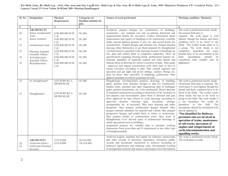**BA=Both Arms, BL=Both Leg, , OAL=One Arm and One Leg,BLOA= Both Legs & One Arm, BLA=Both Legs & Arms, MW=Muscu1ar Weakness, CP= Cerebra1 Pa1sy, LC= Leprosy Cured, LV=Low Vision, B=B1ind, HH= Hearing Handicapped** 

| Sl. No       | <b>Designation</b>                                                          | Physical                       | <b>Categories of</b>          | Nature of work performed                                                                                                                                                                                                                                                                                                                                                                                                                                                                                                                                                                                                                                                                                                                                                                                                        | <b>Working condition / Remarks</b>                                                                                                                                                                                                                                                                                                                                                                                      |
|--------------|-----------------------------------------------------------------------------|--------------------------------|-------------------------------|---------------------------------------------------------------------------------------------------------------------------------------------------------------------------------------------------------------------------------------------------------------------------------------------------------------------------------------------------------------------------------------------------------------------------------------------------------------------------------------------------------------------------------------------------------------------------------------------------------------------------------------------------------------------------------------------------------------------------------------------------------------------------------------------------------------------------------|-------------------------------------------------------------------------------------------------------------------------------------------------------------------------------------------------------------------------------------------------------------------------------------------------------------------------------------------------------------------------------------------------------------------------|
|              |                                                                             | Requirement                    | Disabled suitable for<br>iobs |                                                                                                                                                                                                                                                                                                                                                                                                                                                                                                                                                                                                                                                                                                                                                                                                                                 |                                                                                                                                                                                                                                                                                                                                                                                                                         |
| 1            | $\overline{2}$                                                              | $\mathbf{3}$                   | $\overline{4}$                | 5                                                                                                                                                                                                                                                                                                                                                                                                                                                                                                                                                                                                                                                                                                                                                                                                                               | 6                                                                                                                                                                                                                                                                                                                                                                                                                       |
|              | <b>ARCHITECTS</b>                                                           |                                |                               | Architects prepare designs for construction of buildings,                                                                                                                                                                                                                                                                                                                                                                                                                                                                                                                                                                                                                                                                                                                                                                       | The work is performed mostly inside.                                                                                                                                                                                                                                                                                                                                                                                    |
| $20\,$       | Senior Architectural<br>Asstt.                                              | S.SE.RW.MF.ST.W.<br>C.H        | OL.HH                         | monuments, etc. estimate cost and co-ordinate functional and<br>organisational details for execution. Collect information about                                                                                                                                                                                                                                                                                                                                                                                                                                                                                                                                                                                                                                                                                                 | Occasional field duty is<br>required. The work place is well                                                                                                                                                                                                                                                                                                                                                            |
| 21           | Junior Architect                                                            | S.SE.RW.MF.ST.W.<br>C.H        | OL.HH                         | requirements and type(s) of buildings to be constructed, available<br>funds, special features desired, if any, etc. and record points for                                                                                                                                                                                                                                                                                                                                                                                                                                                                                                                                                                                                                                                                                       | lighted, though hot humid and dusty<br>condition have to be faced in the                                                                                                                                                                                                                                                                                                                                                |
| $22\,$       | Architectural Asstt.                                                        | S.SE.RW.MF.ST.W.<br>C.H        | OL.HH                         | consideration. Prepare designs and estimate cost. Prepare detailed<br>drawing either themselves or get them prepared by draughtsmen                                                                                                                                                                                                                                                                                                                                                                                                                                                                                                                                                                                                                                                                                             | fields. The worker works alone or in<br>a group. The work inside is not                                                                                                                                                                                                                                                                                                                                                 |
| 23           | Planning Assistant.<br>Scientific Officer                                   | S.SE.RW.MF.ST.W.<br>C.H        | OL.HH                         | (Architectural) to specified scale showing location of buildings on<br>site, plan and submit them to competent authorities. Draw up                                                                                                                                                                                                                                                                                                                                                                                                                                                                                                                                                                                                                                                                                             | completely hazardous but some<br>hazards have to be encountered in the                                                                                                                                                                                                                                                                                                                                                  |
| 24           | A(Architecture)<br>Scientific Officer                                       | S.SE.RW.MF.ST.W.<br>C.H        | OL.HH                         | specifications regarding flooring finish, architectural features etc.<br>Estimate quantities of materials requied and other details and                                                                                                                                                                                                                                                                                                                                                                                                                                                                                                                                                                                                                                                                                         | field.<br>Incumbents<br>should<br>be<br>considered with suitable aids &                                                                                                                                                                                                                                                                                                                                                 |
| 25           | B(Architecture)                                                             | S.SE.RW.MF.ST.W.<br>C.H        | OL.HH                         | indicate them in drawing for correct execution of plan. May guide<br>, supervise and inspect construction work from time to time to                                                                                                                                                                                                                                                                                                                                                                                                                                                                                                                                                                                                                                                                                             | appliances.                                                                                                                                                                                                                                                                                                                                                                                                             |
|              |                                                                             |                                |                               | ensure execution according to plan. May consult engineer and<br>specialist and get light and power fittings, sanitary fittings etc.<br>done by them. May specialise in landscape architecture. May                                                                                                                                                                                                                                                                                                                                                                                                                                                                                                                                                                                                                              |                                                                                                                                                                                                                                                                                                                                                                                                                         |
| 26           | Sr. Draughtsman*                                                            | S.ST.W.BN.KC.L.                | OL.HH                         | approve payment on correct execution of work.<br>Draughtsman (Architectural) prepares drawings of building,                                                                                                                                                                                                                                                                                                                                                                                                                                                                                                                                                                                                                                                                                                                     | The work is performed mostly inside.                                                                                                                                                                                                                                                                                                                                                                                    |
|              |                                                                             | MF.RW.SE.HC                    |                               | parks, gardens from sketches, designs or data for construction.<br>Studies notes, sketches and other engineering data of buildings,<br>parks, gardens monuments, etc. to be constructed. Draws sketches                                                                                                                                                                                                                                                                                                                                                                                                                                                                                                                                                                                                                         | Occasional field duty is required. The<br>work place is well lighted, though hot<br>humid and dusty condition have to be                                                                                                                                                                                                                                                                                                |
| $27\,$       | Draughtsman*                                                                | S.ST.W.BN.KC.L.<br>MF.RW.SE.HC | OL.HH                         | of required construction according to directions of the Architect to<br>suit purpose and environment; alters them if directed and gets<br>them approved by him. Draws to scale drawings according to<br>approved sketches showing plan, elevations, settings,<br>arrangements etc. as necessary. May trace drawing and make<br>blueprints. May prepare architectural designs himself. May<br>prepare estimate schedules for material and l abour. May prepare<br>perspective designs and render them in colour or monocrome.<br>May prepare model of constructions work. May work as<br>Draughtsman Civil. Record types of architectural drawings in<br>which specialised such as buildings,<br>irrigational projects etc; whether able to calculate working<br>dimensions from given data and if experienced in any other type | faced in the fields. The worker works<br>alone inside but has to do work in<br>group in the field. The work inside is<br>a not hazardous but could be<br>hazardous in the field.<br>The<br>Incumbents should be considered with<br>aids & appliances.<br>*Not identified for Railways<br>personnel who are involved in<br>operation of trains, mantenance<br>of rail tracks, movement of<br>engines and compartments in |
|              |                                                                             |                                |                               | of draughtsmanship.                                                                                                                                                                                                                                                                                                                                                                                                                                                                                                                                                                                                                                                                                                                                                                                                             | vards, telecommunication and<br>signalling works.                                                                                                                                                                                                                                                                                                                                                                       |
| $28\,$<br>29 | <b>ARCHIVISTS</b><br>Archivists (Genl.)<br>Archivists (Oriented<br>Records) | S.ST.H.RW<br>S.ST.H.RW         | OL.OA.HH<br>OL.OA.HH          | Archivist acquire, maintain and supply for reference manuscripts<br>and other records of historical importance. Scrutinise public<br>records and documents transferred to archives according to<br>historical significance and enduring value. Recommend weeding<br>of unimportant material and analyze and prepare brief descriptions                                                                                                                                                                                                                                                                                                                                                                                                                                                                                          | The work is performed mostly inside.<br>The work place is some                                                                                                                                                                                                                                                                                                                                                          |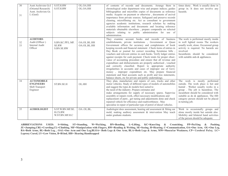| 30<br>31 | Asstt Archivists Gr.I<br>(Oriental Research)<br>Asstt. Archivists Gr.<br>I. $(Gen)$ | S.ST.H.RW<br>S.ST.H.RW                         | OL.OA.HH<br>OL.OA.HH       | of contents of records and documents. Arrange them in<br>chronological order department wise and prepare indices; guides<br>bibliographies and microfilm copies of documents as reference<br>media. Acquire on payment or otherwise, documents of arcival<br>importance from private sources. Safeguard and preserve records<br>cleaning, microfilming etc. Act as consultant to government<br>agencies academic institutions, research scholars by making<br>available information and documents and locating reference<br>materials obtainable elsewhere, prepare compendia on selected<br>subjects relating to public administration for use of<br>administration.                                                                                                                                                                                                                                                  | times dusty. Work is usually done in<br>group in. It does not involve any<br>hazards.                                                                                                                                                                                               |
|----------|-------------------------------------------------------------------------------------|------------------------------------------------|----------------------------|------------------------------------------------------------------------------------------------------------------------------------------------------------------------------------------------------------------------------------------------------------------------------------------------------------------------------------------------------------------------------------------------------------------------------------------------------------------------------------------------------------------------------------------------------------------------------------------------------------------------------------------------------------------------------------------------------------------------------------------------------------------------------------------------------------------------------------------------------------------------------------------------------------------------|-------------------------------------------------------------------------------------------------------------------------------------------------------------------------------------------------------------------------------------------------------------------------------------|
| 32<br>33 | <b>AUDITORS</b><br>Audit (Officer)<br><b>Internal Audit</b><br>Officer              | S.BN.KC.PP.L.MF.<br><b>SE.RW</b><br>S.BN.SE.RW | OA.OL.BL.HH<br>OA.OL.BL.HH | They examine account books and records of business<br>establishments, private institutions, Government or Quasi<br>Government offices for accuracy and completeness of book<br>keeping records and financial statement. Check items of entries in<br>Day Book or journal for correct recording Scrutinise bills,<br>vouchers and relevent entries in cash books. Verify ledger entries<br>against receipts for cash payment. Check totals for proper obser-<br>vance of accounting procedure and ensure that all revenue and<br>expenditure and disbursements are properly authorised, vouched<br>and correctly classified. Report to appropriate authority<br>irregularities in accounts and cases of improper use of Govt.<br>money, improper expenditure etc. May prepare financial<br>statement and final accounts such as profit and loss statements,<br>balance sheets, etc for private and public undertakings. | The work is performed mostly inside<br>in well lighted rooms The workers<br>usually work, alone. Occasional group<br>activity is required. No harards are<br>involved.<br>Incumbents should be considered.<br>with suitable aids $\&$ appliances.                                   |
| 34       | <b>AUTOMOBILE</b><br><b>ENGINEERS</b><br>Shift Transport<br>Engineer                | ST.BN.SE.H                                     | OL.HH                      | They plan, manufacture and repairs of cars, trucks and other<br>motor vehicles. Study of different types of models of automobiles<br>and suggest the types & models best suited to<br>the need of the industry .Prepare estimates and<br>make arrangements for supply of necessary spares. Supervise<br>assembly or repairs work, effect necessary modifications and<br>replacement of parts, get tuning and adjustments done and check<br>repaired vehicle for efficiency and roadworthiness . May<br>specialise in repair of particular type of petrol of diesel vehicles.                                                                                                                                                                                                                                                                                                                                           | The work is mostly performed<br>outside. The work place is hot and<br>humid. Worker usually works in a<br>group. The job is hazardous. The<br>incumbent should be considered with<br>suitable as do & appliances. The HH<br>category person should not be placed<br>in turning job. |
| 35       | <b>AUDIOLOGIST</b>                                                                  | S.ST.W.BN.MF.SE.<br>H.CS.RW.<br>W.ST.BN.MF.H.C | OA .OL.BL.                 | Audiologist does assessment, hearing aid assessment & fitting ear<br>mold, making auditory assessment & intervention May teach<br>under graduate students.                                                                                                                                                                                                                                                                                                                                                                                                                                                                                                                                                                                                                                                                                                                                                             | Work in occasionally groups and<br>alone mostly inside but outside also.<br>Mobility and bilateral hand activities<br>of the person should be adequate.                                                                                                                             |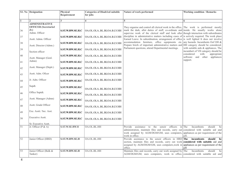|                 | <b>S1. No</b> Designation                                       | Physical<br>Requirement | <b>Categories of Disab1ed suitable</b><br>for jobs | Nature of work performed                                                                                                                                                                                                                                   | <b>Working condition / Remarks</b>                                      |
|-----------------|-----------------------------------------------------------------|-------------------------|----------------------------------------------------|------------------------------------------------------------------------------------------------------------------------------------------------------------------------------------------------------------------------------------------------------------|-------------------------------------------------------------------------|
|                 |                                                                 | 3                       | $\overline{\mathbf{4}}$                            | $\overline{5}$                                                                                                                                                                                                                                             | 6                                                                       |
|                 | <b>ADMINISTRATIVE</b><br><b>OFFICER</b> (Secretaria1<br>$Jr$ .) |                         |                                                    | They organise and control all clerical work in the office, The work is performed mostly                                                                                                                                                                    |                                                                         |
| 36              | Admn. Officer                                                   | S.ST.W.RW.SE.H.C        | OA.OL.OLABL.BLOA.B.LV.HH                           | mark the dark, allot duties of staff, co-ordinate and inside. He usually works alone<br>supervise work of the clerical staff and look after though interaction with subordinates                                                                           |                                                                         |
| 37              | Asstt. Admn. Officer                                            | S.ST.W.RW.SE.H.C        | OA.OL.OLABL.BLOA.B.LV.HH                           | discipline in administrative matters including cases of is actively required. The work place<br>Earned Leave. In subordination, arrangement of office is well lighted It does not involve                                                                  |                                                                         |
| 38              | Asstt. Director (Admn.)                                         | <b>S.ST.W.RW.SE.H.C</b> | OA.OL.OLABL.BLOA.B.LV.HH                           | accommodation furniture, office equipments etc. any hazards. Incumbents Oof OH &<br>Prepare briefs of important administrative matters and HH category should be considered.<br>Parliament questions, attend Departmental meetings.                        | with suitable aids & appliances. The                                    |
| 39              | Section officer                                                 | S.ST.W.RW.SE.H.C        | OA.OL.OLABL.BLOA.B.LV.HH                           |                                                                                                                                                                                                                                                            | incumbert of VH category should be<br>considered<br>with<br>appropriate |
| 40              | Asstt. Manager (Genl.                                           | S.ST.W.RW.SE.H.C        | OA.OL.OLABL.BLOA.B.LV.HH                           |                                                                                                                                                                                                                                                            | software and other appliances                                           |
| 41              | Admn)                                                           | S.ST.W.RW.SE.H.C        | OA.OL.OLABL.BLOA.B.LV.HH                           |                                                                                                                                                                                                                                                            | support.                                                                |
| 42              | Asstt. Manager (Deptt.)                                         | S.ST.W.RW.SE.H.C        | OA.OL.OLABL.BLOA.B.LV.HH                           |                                                                                                                                                                                                                                                            |                                                                         |
| 43              | Asstt. Adm. Oficer                                              | S.ST.W.RW.SE.H.C        | OA.OL.OLABL.BLOA.B.LV.HH                           |                                                                                                                                                                                                                                                            |                                                                         |
| 44              | Jr. Adm. Officer                                                | S.ST.W.RW.SE.H.C        | OA.OL.OLABL.BLOA.B.LV.HH                           |                                                                                                                                                                                                                                                            |                                                                         |
| 45              | Supdt.                                                          | S.ST.W.RW.SE.H.C        | OA.OL.OLABL.BLOA.B.LV.HH                           |                                                                                                                                                                                                                                                            |                                                                         |
| 46              | Office Suptdt.                                                  | S.ST.W.RW.SE.H.C        | OA.OL.OLABL.BLOA.B.LV.HH                           |                                                                                                                                                                                                                                                            |                                                                         |
| 47              | Asstt. Manager (Admn)                                           | S.ST.W.RW.SE.H.C        | OA.OL.OLABL.BLOA.B.LV.HH                           |                                                                                                                                                                                                                                                            |                                                                         |
| $48\,$          | Asstt. Grade Officer                                            | S.ST.W.RW.SE.H.C        | OA.OL.OLABL.BLOA.B.LV.HH                           |                                                                                                                                                                                                                                                            |                                                                         |
| 49              | Exe. Asstt./ Sec. Asst.                                         | S.ST.W.RW.SE.H.C        | OA.OL.OLABL.BLOA.B.LV.HH                           |                                                                                                                                                                                                                                                            |                                                                         |
| 50              | <b>Executive Asstt.</b>                                         | S.ST.W.RW.SE.H.C        | OA.OL.OLABL.BLOA.B.LV.HH                           |                                                                                                                                                                                                                                                            |                                                                         |
|                 | Sr. Executive Asstt.                                            |                         |                                                    |                                                                                                                                                                                                                                                            |                                                                         |
| $\overline{51}$ | Jr. Officer (P & A)                                             | S.ST.W.SE.RW.H          | OA.OL.BL.HH                                        | Provide assistance to the senoir officers in The<br>administration, maintain files and records, carry out considered with suitable aid and<br>work assigned by AGM/DGM/GM, uses computers, appliances as per requirement of the<br>work in office.         | Incumbents<br>should<br>be<br>job.                                      |
| 52              | Junior Officer (HRD)                                            | <b>S.ST.W.RW.SE.H</b>   | OA.OL.BL.HH                                        | Provide assistance to the senoir officers in HRD The incumbents<br>section, maintain files and records, carry out work considered with suitable aid and<br>assigned by AGM/DGM/GM, uses computers, work in appliances as per requirement of the<br>office. | should<br>be<br>iob                                                     |
| 53              | Junior Officer (Bulk &<br>Tanker)                               | <b>S.ST.W.RW.SE.H</b>   | OA.OL.BL.HH                                        | Maintain files and records, carry out work assigned by The<br>AGM/DGM/GM, uses computers, work in office, considered with suitable aid and                                                                                                                 | Incumbents<br>should<br>be                                              |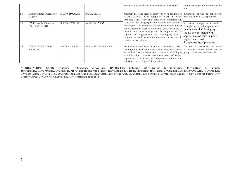|    |                                            |                       |                       | Travel & Accomodation arrangements to fleet staff.                                                                                                                                                                                                                                                                                                                                                                                                                                     | appliances as per requirement of the                                              |
|----|--------------------------------------------|-----------------------|-----------------------|----------------------------------------------------------------------------------------------------------------------------------------------------------------------------------------------------------------------------------------------------------------------------------------------------------------------------------------------------------------------------------------------------------------------------------------------------------------------------------------|-----------------------------------------------------------------------------------|
| 54 | Junior Officer (Purchase &<br>Supply)      | <b>S.ST.W.RW.SE.H</b> | OA.OL.BL.HH           | Maintain files and records, carry out work assigned by Incumbents should be considered.<br>$AGM/DGM/GM$ , uses computers, work in office, with suitable aids $&$ appliances.<br>Drafting work. They take dication in shorthand and                                                                                                                                                                                                                                                     |                                                                                   |
| 55 | PA/PS to GM/Executive<br>Director/C $&$ MD | S.ST.W.RW.SE.H        | OA.OL.BL. <b>B.LV</b> | transcribe then using typewriter. Receive and open mail VH neds to be supplemented with<br>and submit it to superiors for information and further Dictaphone/Digital telephone etc.<br>action. Maintain diary to note time , date, and place of Incumbents of VH category<br>meeting and other engagement for empolyer or the should be considered with<br>superoir of engagements and accompany him if<br>required. Attend to routine enquires in persons in<br>writing or over phone | appropriate software support<br>supplemented with<br>dictaphone/digitalphone etc. |
| 56 | <b>DISTT. EDUCATION</b><br><b>OFFICER</b>  | S.ST.BN.SE.RW         | OL.OA.BL.MW.B.LV.HH   | Distt. Education Officer functions as Distt. Govt. Deptt. The work is performed both inside<br>dealing with specified matters such as education, serves $\&$ outside. Works alone and in<br>as head of Distt., Advises Govt. on matter of Policy & $\gamma$ group. No hazards are involved.<br>Administration, organise and direct work of Deptt.,<br>supervises $\&$ executes $\&$ implements policies and<br>decisionss, Acts, Rules & Regulations                                   |                                                                                   |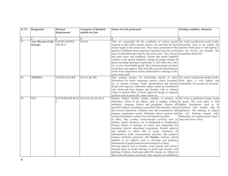| Sl. No       | <b>Designation</b>                               | Physical<br>Requirement | <b>Categories of Disabled</b><br>suitable for jobs | Nature of work performed                                                                                                                                                                                                                                                                                                                                                                                                                                                                                                                                                                                                                                                                                                                                                                                                                                                                                                                                                                                                                                                                                                                                                                                                                                                                                                                                                                                                                                                                                                 | <b>Working condition / Remarks</b>    |
|--------------|--------------------------------------------------|-------------------------|----------------------------------------------------|--------------------------------------------------------------------------------------------------------------------------------------------------------------------------------------------------------------------------------------------------------------------------------------------------------------------------------------------------------------------------------------------------------------------------------------------------------------------------------------------------------------------------------------------------------------------------------------------------------------------------------------------------------------------------------------------------------------------------------------------------------------------------------------------------------------------------------------------------------------------------------------------------------------------------------------------------------------------------------------------------------------------------------------------------------------------------------------------------------------------------------------------------------------------------------------------------------------------------------------------------------------------------------------------------------------------------------------------------------------------------------------------------------------------------------------------------------------------------------------------------------------------------|---------------------------------------|
| $\mathbf{1}$ |                                                  |                         | 4                                                  | 5                                                                                                                                                                                                                                                                                                                                                                                                                                                                                                                                                                                                                                                                                                                                                                                                                                                                                                                                                                                                                                                                                                                                                                                                                                                                                                                                                                                                                                                                                                                        |                                       |
| 57           | Asst. Director (Cold S.ST.BN.MF.PP.L<br>Storage) | .RW.SE.C                | OA.OL                                              | They are responsible for the availbility of various goods The work is performed mostly inside.<br>required in their office section, factory, etc, and also for their Occasional visits to the market are<br>proper supply to the actual users. They make assessment of the required. Work place is well lighted, it<br>quantity of different items required at specified intervals on the does not involve any hazards. The<br>basis of information provided by the actual users. They discuss incumbents should be?<br>and settle terms and conditions. Ensure that goods supplied<br>conform to the agreed standards. Arange for proper storage of<br>goods including spraying of pesticides to kill white ants, rats,<br>etc. in case of perishable goods. May maintain proper accounts<br>of purchase and supplies. May look after general administartion<br>of the stores department and be administrative incharge of the<br>junior stores staff.                                                                                                                                                                                                                                                                                                                                                                                                                                                                                                                                                                  |                                       |
| 58           | <b>ARTISTS</b>                                   | S.ST.BN.H.SE.RW         | OL.OA.BL.HH                                        | They prepare designs for advertising articles or draw The work is performed mostly inside.<br>illustrations for books magazines, posters, charts, hoardings Work place is well lighted and<br>etc. in suitable columns. Study specifications and discuss comfortable. No hazards are involved.<br>details with superiors. Determine subject matter in consultation<br>with client and draw designs and sketches with or without<br>colour to desired effect. Execute approved design in required<br>medium such as paints oils, water colour etc.                                                                                                                                                                                                                                                                                                                                                                                                                                                                                                                                                                                                                                                                                                                                                                                                                                                                                                                                                                        |                                       |
| 59           | PGT                                              |                         | S.ST.W.BN.RW.SE.H. OA.OAL.OL.BL.B.LV               | Primary School Teacher teaches students of primary or The work is performed mostly inside<br>elementary school in all subject, such as reading, writing, in group. The work place is well<br>arithmetic, language, history and geography. Teaches all lighted. Incumbents need to be<br>specified subjects according to prescribed time-schedule, allots considered with suitable aids &<br>and corrects homework. Conducts tests and examinations and appliances. The teaching in subject<br>prepares examination results. Maintains school registers and like Art, Painting manual craft,<br>record of attendance, collects fees and submits accounts<br>to office. May conduct extracurricular activities such as cuity and colour vision.<br>hobbies, sports, dramatics, etc. Is designated as Headmaster,<br>Primary School if incharge of school and responsible for<br>executing school's educational programme. Record subjects<br>and medium in which able to teach; experience of<br>administrative work; extracurricular activities; and teacher's<br>training certificate possessed. Art Teacher, instructs school<br>students in art subjects such as drawings and painting.<br>Demonstrate to pupils methods and techniques of using<br>drawing material such as brushes, scale, pencils and colours.<br>Instructs them in model drawing in pencil and crayons, and<br>painting of objects, landscapes plant life, murals, etc. Observes<br>their work and makes corrections. May organise art exhibitions | Mathmetics etc requires good visual a |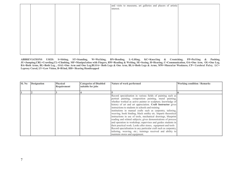| Sl. No | <b>Designation</b> | <b>Physical</b><br>Requirement | <b>Categories of Disabled</b><br>suitable for jobs | Nature of work performed                                                                                                                                                                                                                                                                                                                                                                                                                                                                                                                                                                                                                                                                                                                                                                                                                                                        | <b>Working condition / Remarks</b> |
|--------|--------------------|--------------------------------|----------------------------------------------------|---------------------------------------------------------------------------------------------------------------------------------------------------------------------------------------------------------------------------------------------------------------------------------------------------------------------------------------------------------------------------------------------------------------------------------------------------------------------------------------------------------------------------------------------------------------------------------------------------------------------------------------------------------------------------------------------------------------------------------------------------------------------------------------------------------------------------------------------------------------------------------|------------------------------------|
|        |                    |                                |                                                    |                                                                                                                                                                                                                                                                                                                                                                                                                                                                                                                                                                                                                                                                                                                                                                                                                                                                                 |                                    |
|        |                    |                                |                                                    | Record specialisation in various fields of painting such as<br>portrait painting, composition painting, mural painting;<br>whether worked as active painter or sculpture; knowledge of<br>history of art and art appreciation. Craft Instructor gives<br>instructions to students in schools and training<br>institutions in manual crafts such as carpentry, tailoring,<br>weaving, book binding, black smithy etc. Imparts theoretical<br>instructions in use of tools, mechanical drawings, blueprint<br>reading and related subjects; gives demonstrations of process<br>and operation in workshop; supervises and guides students in<br>their practical work. Looks after stores, equipment and tools<br>Record specialisation in any particular craft such as carpentry,<br>tailoring, weaving, etc.; trainings received and ability to<br>maintain stores and equipment. |                                    |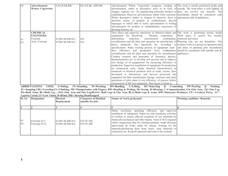| 60 | Advertisement      | S, ST, W, SE, RW, | OL.OA.BL. MW.HH | Advertisement Writer; Copywriter composes wording of The work is mostly performed inside and         |
|----|--------------------|-------------------|-----------------|------------------------------------------------------------------------------------------------------|
|    | Writer; Copywriter |                   |                 | advertisement, either in descriptive style or in form of outside. The work place is well lighted, it |
|    |                    |                   |                 | slogans, captions, etc., for popularising particular product or does not involve any hazards. The    |
|    |                    |                   |                 | establishment. Receives advertisement matter from customer. incumbents should be considered with     |
|    |                    |                   |                 | Writes descriptive matter or slogans in attractive form to appropriate aids of appliances.           |
|    |                    |                   |                 | advertise merits of product or establishment. Record                                                 |
|    |                    |                   |                 | languages in which able to write; specialisation in writing                                          |
|    |                    |                   |                 | advertisement for product or establishment; experience of                                            |
|    |                    |                   |                 | drawing sketches etc.                                                                                |
|    | <b>CHEMICAL</b>    |                   |                 | They direct and supervise operations of chemical plants and The work is performed mostly inside      |
|    | <b>ENGINEERS</b>   |                   |                 | equipments for dissolving, filtration evaporation, Work place is mostly hot, humid,                  |
| 61 | Foreman            | ST.BN.SE.RW.H.C   | <b>OA</b>       | concentration combination, odourous and noisy,<br>dehydration.<br>reduction.                         |
| 62 | Asstt. Foreman     | ST.BN.SE.RW.H.C   | <b>OA</b>       | crystallization and all other unit operation for manufacture of Planning jobs are not hazardous. The |
|    |                    |                   |                 | heavy chemicals, fine chemicals etc. according so workers work in a group on operation jobs          |
|    |                    |                   |                 | specifications. Study existing process or equipment used , and alone on planning jobs. Incumbents    |
|    |                    |                   |                 | their efficiency and production level combination, should be considered with suitable aids $\&$      |
|    |                    |                   |                 | crystallization and all other unit operation for manufactures appliances.                            |
|    |                    |                   |                 | Conduct research into principles of chemistry, physics,                                              |
|    |                    |                   |                 | thermodynamics etc. to develop new process and to improve                                            |
|    |                    |                   |                 | new design of of equipmwent for increasing efficiency of                                             |
|    |                    |                   |                 | production. Supervise installation of equipment for production                                       |
|    |                    |                   |                 | on commercial scale. Study chemical characteristics of                                               |
|    |                    |                   |                 | chemicals or chemical products such as acids, rayons, dyes                                           |
|    |                    |                   |                 | developed in laborateries and devices processed and                                                  |
|    |                    |                   |                 | equipment for their manufactures Design, construct and study                                         |
|    |                    |                   |                 | operations of pilot plant to test efficiency of process before                                       |
|    |                    |                   |                 | construction of full size equipment. Plan layout of plant to                                         |

| <b>Sl. No</b> | <b>Designation</b>            | <b>Physical</b><br>Requirement     | <b>Categories of Disabled</b><br>suitable for jobs | Nature of \work performed                                                                                                                                                                                                                                                                                                                                                                                                                                                                                     | <b>Working condition / Remarks</b> |
|---------------|-------------------------------|------------------------------------|----------------------------------------------------|---------------------------------------------------------------------------------------------------------------------------------------------------------------------------------------------------------------------------------------------------------------------------------------------------------------------------------------------------------------------------------------------------------------------------------------------------------------------------------------------------------------|------------------------------------|
|               |                               |                                    |                                                    |                                                                                                                                                                                                                                                                                                                                                                                                                                                                                                               |                                    |
| 63<br>64      | Foreman Gr I<br>Foreman Gr II | ST.BN.SE.RW.H.C<br>ST.BN.SE.RW.H.C | OA.OL.HH<br>OA.OL.HH                               | obtain maximum operating efficiency and supervise<br>installation of equipment. Supervise and coordinate activities<br>of workers to ensure efficient treatment of raw materials by<br>chemicals mechanical and other means. Assist E.W.S engineer<br>collect engineering data for estimates, prepare rough drawing,<br>supervising all works under his charge. Arrange for the<br>materials, purchasing them from stores, issue materials to<br>contractors etc. Keep all materials and tools in his custody |                                    |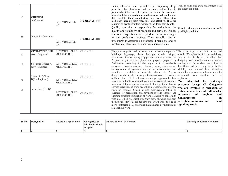| 65<br>66 | <b>CHEMIST</b><br>Jr. Chemist<br>Jr. Quality Controller | S.ST.W.BN.MF.SE.<br><b>RW</b><br>S.ST.W.BN.MF.SE.<br><b>RW</b> | <b>OA.OL.OAL .HH</b><br>OA.OL.OALHH | Junior Chemists who specialize in dispensing drugs Work in calm and quite enviroment with<br>prescribed by physicians and providing information to good light condition.<br>patients about their side effects and use. Junior Chemists must<br>understand the composition of medicines, as well as the laws<br>that regulate their manufacture and sale. They store<br>medicines, keeping them safe, pure, and effective. They are<br>required by law to maintain records of the drugs they handle.<br>Quality controller is responsible for maintaining the<br>quality and reliability of products and services. Quality<br>controller inspects and tests products at various stages<br>in the production process. They establish testing<br>procedures to determine a product's dimensions and its<br>mechanical, electrical, or chemical characteristics | Work in calm and quite environment with<br>good light condition                                                                                                     |
|----------|---------------------------------------------------------|----------------------------------------------------------------|-------------------------------------|-------------------------------------------------------------------------------------------------------------------------------------------------------------------------------------------------------------------------------------------------------------------------------------------------------------------------------------------------------------------------------------------------------------------------------------------------------------------------------------------------------------------------------------------------------------------------------------------------------------------------------------------------------------------------------------------------------------------------------------------------------------------------------------------------------------------------------------------------------------|---------------------------------------------------------------------------------------------------------------------------------------------------------------------|
| 67       | <b>CIVIL ENGINEER</b><br>Asstt. Engineer*               | S.ST.W.BN.L.PP.KC.<br>MF.RW.SE.H.C                             | OL.OA.HH                            | They plan, organise and supervise conctruction and repairs of The work is performed both inside and<br>buildings, highways, dams, barrages, canals, bridges, outside. Workplace is often hot and dusty.<br>aerodromes, towers, laying of pipe lines, railway tracks, etc. Jobs in the fields are hazardous but                                                                                                                                                                                                                                                                                                                                                                                                                                                                                                                                              |                                                                                                                                                                     |
| 68       | Scientific Officer A<br>(Civil Engineer)                | S.ST.W.BN.L.PP.KC.<br>MF.RW.SE.H.C                             | OL.OA.HH                            | Prepare or get sketches plants and projects prepared by designing work in office does not involve<br>Architectect according to the requirement of Authority any hazards. The workers work alone in<br>concerned. Visits areas for preliminary survey selection site the offfice and in a group in the fields.<br>and collection of necessary data such as measurements soil Mobility and bilateral hand activities<br>conditions availability of materials, labours etc. Prepare should be adequate Incumbents should be                                                                                                                                                                                                                                                                                                                                    |                                                                                                                                                                     |
| 69       | Scientific Officer<br>B(Civil ngineer)                  | S.ST.W.BN.L.PP.KC.<br>MF.RW.SE.H.C                             | OL.OA.HH                            | design details, detailed drawing estimates of cost of assistance considered with suitable<br>of Draughtmens Civil or themselves and get approved by their appliances.<br>clients or authority concerned. Arrange for required materials <b>*Not identified</b><br>machinery labours and comencement of work at site. Ensure                                                                                                                                                                                                                                                                                                                                                                                                                                                                                                                                 | aids $\&$<br>Railways<br>for<br>personnel (except OL Category)                                                                                                      |
| 70       | Jr.Engineer(Civil)*                                     | S.ST.W.BN.L.PP.KC.<br>MF.RW.SE.H.C                             | OL.OA.HH                            | correct execution of work according o specification at every<br>stage of Progress Check at site measurement taken by<br>overseer for preparation and payment of bills. Inspect and<br>examine structure completion of work to ensure its conformity<br>with prescribed specifications. May draw sketches and plan<br>themselves. May call for tenders and award work to one or<br>more contractor, May undertake maintainance development or signalling works.<br>remodelling work.                                                                                                                                                                                                                                                                                                                                                                         | who are involved in operation of<br>trains, mantenance of rail tracks,<br>of<br>engines<br>movement<br>and<br>compartments<br>in<br>yards, telecommunication<br>and |

| Sl. No | <b>Designation</b> | <b>Physical Requirement</b> | Categories of<br><b>Disabled suitable</b><br>for jobs | Nature of work performed | <b>Working condition / Remarks</b> |
|--------|--------------------|-----------------------------|-------------------------------------------------------|--------------------------|------------------------------------|
|        |                    |                             |                                                       |                          |                                    |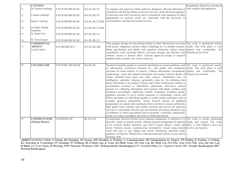|    | <b>CANTEEN</b>                                       |                    |                |                                                                                                                                                                                                                                                                                                                                                                                                                                                                                                                                                                                                                                                                                                                                                                                                                                                                                                                                                                                                                                                                                                                                                                                                                                                                                                                                                                                                                                                                                                                                  | Incumbents should be considered |
|----|------------------------------------------------------|--------------------|----------------|----------------------------------------------------------------------------------------------------------------------------------------------------------------------------------------------------------------------------------------------------------------------------------------------------------------------------------------------------------------------------------------------------------------------------------------------------------------------------------------------------------------------------------------------------------------------------------------------------------------------------------------------------------------------------------------------------------------------------------------------------------------------------------------------------------------------------------------------------------------------------------------------------------------------------------------------------------------------------------------------------------------------------------------------------------------------------------------------------------------------------------------------------------------------------------------------------------------------------------------------------------------------------------------------------------------------------------------------------------------------------------------------------------------------------------------------------------------------------------------------------------------------------------|---------------------------------|
| 71 | Sr Canteen Incharge                                  | S.ST.W.MF.RW.SE.HC | OA.OL.BL.LV    | To organize and supervise within authority delegated, efficient utilization of with suitable aids/appliances<br>concerned with the providing of relevent services, under the board guidance                                                                                                                                                                                                                                                                                                                                                                                                                                                                                                                                                                                                                                                                                                                                                                                                                                                                                                                                                                                                                                                                                                                                                                                                                                                                                                                                      |                                 |
| 72 | Canteen Incharge                                     | S.ST.W.MF.RW.SE.HC | OA.OL.BL.LV    | of directors and chief executives and in consulation with managers of other<br>departments or sections which are concerned with the provision of                                                                                                                                                                                                                                                                                                                                                                                                                                                                                                                                                                                                                                                                                                                                                                                                                                                                                                                                                                                                                                                                                                                                                                                                                                                                                                                                                                                 |                                 |
| 73 | Suptd. Catering                                      | S.ST.W.MF.RW.SE.HC | OA.OL.BL.LV,HH | accomodation, catering and related services.                                                                                                                                                                                                                                                                                                                                                                                                                                                                                                                                                                                                                                                                                                                                                                                                                                                                                                                                                                                                                                                                                                                                                                                                                                                                                                                                                                                                                                                                                     |                                 |
| 74 | Sr Public Health<br>Inspector                        | S.ST.W.MF.RW.SE.HC | OA.OL.BL.LV,HH |                                                                                                                                                                                                                                                                                                                                                                                                                                                                                                                                                                                                                                                                                                                                                                                                                                                                                                                                                                                                                                                                                                                                                                                                                                                                                                                                                                                                                                                                                                                                  |                                 |
| 75 | Sr. Supervisor                                       | S.ST.W.MF.RW.SE.HC | OA.OL.BL.LV    |                                                                                                                                                                                                                                                                                                                                                                                                                                                                                                                                                                                                                                                                                                                                                                                                                                                                                                                                                                                                                                                                                                                                                                                                                                                                                                                                                                                                                                                                                                                                  |                                 |
| 76 | Sr. Time Keeper                                      | S.ST.W.MF.RW.SE.HC | OA.OL.BL.LV    |                                                                                                                                                                                                                                                                                                                                                                                                                                                                                                                                                                                                                                                                                                                                                                                                                                                                                                                                                                                                                                                                                                                                                                                                                                                                                                                                                                                                                                                                                                                                  |                                 |
| 77 | <b>COMMERCIAL</b><br><b>ARTISTS</b><br>Layout Artist | S.ST.MF.RW.SE.C    | OA.OL.BL.HH    | They prepare designs for advertising articles or draw illustrations for books The work is performed mostly<br>book-jacket, magazines, posters, charts, hoardings etc. in suitable columns. inside. The work place is well<br>Study specification and details with superiors, determine subject matter lighted and comfortable. No<br>consultation with concerned officers and draw designs and sketches with hazards are involved.<br>without colours to desired effect. Execute approved design in required<br>medium such as paints, oils, water colour etc.                                                                                                                                                                                                                                                                                                                                                                                                                                                                                                                                                                                                                                                                                                                                                                                                                                                                                                                                                                   |                                 |
| 78 | <b>COUNSELLOR</b>                                    | S.ST.W.BNRW.SE.HC  | OA.OL.BL       | Teacher/Counsellor guides or counsels individuals in various problems such The work is performed mostly<br>as educational, vocational, personal etc., and guides and coordinates inside. The work place is well<br>activities of career masters in schools. Collects educational, occupational, lighted and comfortable. No<br>employment, social and related information and studies relevant details of hazards are involved.<br>clients obtained from them and other sources. Administers tests of<br>intelligence, aptitudes, interests, personality traits etc. for obtaining data<br>about individuals to be guided. Collects and studies information relating to<br>environment involved in individual's adjustment. Interviews various<br>persons for collecting information and counsels individuals needing such<br>assistance accordingly, employing suitable techniques. Conducts group-<br>guidance activities to serve various purposes of counselling. Carries out<br>follow up studies on individuals guided, to render further assistance, and to<br>evaluate guidance programme. Keeps himself abreast of guidance<br>programmes in schools and coordinates their activities to ensure uniformity.<br>May guide Career Masters and conduct research and surveys for purposes<br>relevant to counselling. Record type and duration of training obtained; type<br>of problems in which specialised such as personal, vocational, educational,<br>social, etc; types of guidance activities in which specialized. |                                 |
| 79 | <b>COMMENTATOR</b><br>(Motion Picture)               | S.ST.RW.SE.HC      | BL.OL.OA       | Commentator (Motion Picture) gives running commentary to interpret or to The work is mostly performed<br>describe visuals of motion picture. Obtains general background of material inside and outside. The work<br>to be covered. Studies narration, sees film to grasp subject, visuals and place is well lighted it does not<br>mood. Narrates events, synchronising commentary visuals using trained involve any hazards.<br>voice and tone to suit subject and mood. Dramatises narration under<br>guidance of Director Theatrical by infusing emotional effects in tone and in<br>harmony with                                                                                                                                                                                                                                                                                                                                                                                                                                                                                                                                                                                                                                                                                                                                                                                                                                                                                                                             |                                 |

**ABBREVIATIONS USED: S=Sitting, BN=Bending, SE=Seeing, RW=Reading & Writing, C=Communication MF=Manipulation by Fingers, PP=Pulling & Pushing, L=Lifting, KC=Kneeling & Croutching, ST=Standing, W=Walking, BLA=Both Legs & Arms, BA=Both Arms, OL=One Leg, BL=Both Leg, OA=One Arm, OAL=One Arm and One Leg, B=Blind, LV=Low Vision, H=Hearing. MW=Muscular Weakness, OH= Orthopaedically Handicapped, CP= Cerebral Palsy, LC= Leprosy Cured, VH= Visually Handicapped, HH= Hearing Handicapped**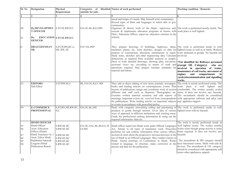| Sl. No                           | <b>Designation</b>                                                                                                                                                                          | Physical<br>Requirement                                                          | Categories of<br>suitable for jobs | Disabled Nature of work performed                                                                                                                                                                                                                                                                                                                                                                                                                                                                                                                                                                                                                                                                                                                              | <b>Working condition / Remarks</b>                                                                                                                                                                                                                                                                                                                                                      |
|----------------------------------|---------------------------------------------------------------------------------------------------------------------------------------------------------------------------------------------|----------------------------------------------------------------------------------|------------------------------------|----------------------------------------------------------------------------------------------------------------------------------------------------------------------------------------------------------------------------------------------------------------------------------------------------------------------------------------------------------------------------------------------------------------------------------------------------------------------------------------------------------------------------------------------------------------------------------------------------------------------------------------------------------------------------------------------------------------------------------------------------------------|-----------------------------------------------------------------------------------------------------------------------------------------------------------------------------------------------------------------------------------------------------------------------------------------------------------------------------------------------------------------------------------------|
|                                  | $\overline{2}$                                                                                                                                                                              |                                                                                  |                                    | 5                                                                                                                                                                                                                                                                                                                                                                                                                                                                                                                                                                                                                                                                                                                                                              | 6                                                                                                                                                                                                                                                                                                                                                                                       |
| 80<br>81                         | <b>Dy.DEVELOPMEN</b><br><b>T OFFICER</b><br>Dv.<br><b>OFFICER</b>                                                                                                                           | S.ST.SE.RW.H.C<br>EDUCATION S.ST.SE.RW.H.C                                       | OA.OL.BL,B,LV,HH                   | mood and tempo of visuals. May himself write commentary.<br>Record types of films and languages in which able to give<br>commentary.<br>Organises $\&$ directs work of the Deptt., supervises and, The work is performed mostly inside. The<br>execute $\&$ implements education programs in liaison with work place is well lighted.<br>Distt., Education Officer, supervise education schemes in the<br>schools.                                                                                                                                                                                                                                                                                                                                             |                                                                                                                                                                                                                                                                                                                                                                                         |
| 82                               | <b>DRAUGHTSMAN</b><br>SR.                                                                                                                                                                   | S, ST, W, BN, KC, L,<br>MF, RW, SE                                               | OA*, OL, HH*                       | They prepare drawings of buildings, highways, dams, The work is performed inside in well<br>machines, plants, etc. from sketches, designs or data for lighted rooms as well as in fields. Workers<br>purpose of construction, alteration, manufacture or repair work aloneand in groups. No hazards are<br>Study notes, sketches and other engineering data. Calculate involved.<br>dimensions as required from available material or sample.<br>Draw to scale detailed drawings, showing plan, elevations, *Not identified for Railways personnel<br>sectional views etc. according to nature of work and<br>operations required. May prepare estimate schedules for<br>material and labour.                                                                  | (except OL Category)<br>who are<br>involved in operation of trains,<br>mantenance of rail tracks, movement of<br>engines<br>and<br>compartments<br>in<br>yards, telecommunication and signalling<br>works.                                                                                                                                                                              |
| 83                               | <b>EDITORS</b><br>Sub-Editor                                                                                                                                                                | S.ST.RW.SE.C                                                                     | BL.OA.OL.B,LV. HH                  | They edit or direct editing of new items journals, newspaper, The work is mostly performed inside. The<br>books and leading articles on contempaorary events. Plan work place is well lighted and<br>layouts of publications assign and coordinate work of section comfortable. The worker usually works<br>different and staff such as Reporter, Photographer etc. alone. It does not involve any hazards.<br>Examine written material scrutnise and edit reports of The incumbents should be considered<br>meetings, important events etc. received from correspondents with appropriate software and other aids<br>for publications. Write leading articles on important subjects and applintes support.<br>or events in accordance with prescribed policy. |                                                                                                                                                                                                                                                                                                                                                                                         |
| 84                               | <b>E-COMMERCE</b><br><b>PROFESSIONAL</b>                                                                                                                                                    | S, ST, BN, MF, RW, SE,<br>H.C                                                    | OA, OL, BL, HH                     | Deals with computer networking selling and purchasing of The work is performed inside in well<br>products or goods through internet. Gives idea of various lighted room with no hazards.<br>ways of approach in different institutions and working areas.<br>Guide the professional seeking information $\&$ using out the<br>required information /data etc.                                                                                                                                                                                                                                                                                                                                                                                                  |                                                                                                                                                                                                                                                                                                                                                                                         |
| 85<br>86<br>87<br>88<br>89<br>90 | <b>HINDI OFFICER</b><br>Hindi Officer<br>Asstt. Education<br>Officer (Hindi)<br>Hindi Translator Gr. I<br>Asstt. Editor Hindi<br>Rajbhasha Sahayak<br>Linguist (Hindi<br>Publication Board) | S.RW.SE.HC<br>S.RW.SE.HC<br>S.RW.SE.HC<br>S.RW.SE.HC<br>S.RW.SE.HC<br>S.RW.SE.HC | OA.OL.OAL.BL.BLOAB.<br>LV.HH       | Hindi officer supervises Hindi work under Official Languages<br>Act. Attend, to all types of translation work. Prescribes<br>proforma for and collects information from various offices,<br>sections & units about the progressive increase/decrease in the hazards.<br>use of Hindi as an Official Languages. May conduct classes in<br>Hindi. Attend meetings of Committees in Hindi. Works<br>related to language, its structure, make correction in the<br>articles and data for the publication.                                                                                                                                                                                                                                                          | The work is mostly performed inside in<br>well lighted rooms. The worker usually<br>works alone though group activity is some<br>times required. It does not involve any<br>The incumbents & HH category should<br>have functional comm. Skills with aids &<br>devices. The incumbents $& VH$ category<br>should be considered with appropriate soft<br>wares other appliances support. |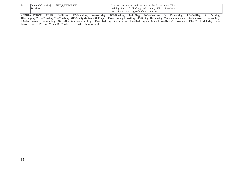| 91 | : Officer (Raj<br>unior | S.W<br><b>SE, HRRW</b><br>. MF | TT.<br>hindi.<br>Prepare<br>reports<br>and<br>Arrange<br>- 1n<br>Hındı<br>documents |  |
|----|-------------------------|--------------------------------|-------------------------------------------------------------------------------------|--|
|    | Bhasha)                 |                                | staff (drafting and typing).<br>Hındı<br>Iranslation<br>training<br>tor             |  |
|    |                         |                                | Encourage usage of Official language<br>work                                        |  |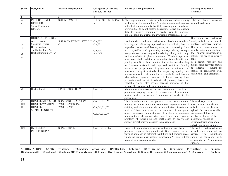| Sl. No               | <b>Designation</b>                                                                                                                     | <b>Physical Requirement</b>                                       | <b>Categories of Disabled</b><br>suitable for jobs | Nature of work performed                                                                                                                                                                                                                                                                                                                                                                                                                                                                                                                                                                                                                                                                                                                                                                                                                                                                                                                                                                                                                                                                                                                                                                                 | Working condition /<br><b>Remarks</b>                                                                                                                   |
|----------------------|----------------------------------------------------------------------------------------------------------------------------------------|-------------------------------------------------------------------|----------------------------------------------------|----------------------------------------------------------------------------------------------------------------------------------------------------------------------------------------------------------------------------------------------------------------------------------------------------------------------------------------------------------------------------------------------------------------------------------------------------------------------------------------------------------------------------------------------------------------------------------------------------------------------------------------------------------------------------------------------------------------------------------------------------------------------------------------------------------------------------------------------------------------------------------------------------------------------------------------------------------------------------------------------------------------------------------------------------------------------------------------------------------------------------------------------------------------------------------------------------------|---------------------------------------------------------------------------------------------------------------------------------------------------------|
|                      |                                                                                                                                        |                                                                   |                                                    |                                                                                                                                                                                                                                                                                                                                                                                                                                                                                                                                                                                                                                                                                                                                                                                                                                                                                                                                                                                                                                                                                                                                                                                                          |                                                                                                                                                         |
| l 1<br>92<br>93      | <b>PUBLIC HEALTH</b><br><b>OFFICER</b><br>Social Education                                                                             | S.ST.W.RW.SE.HC                                                   | OA, OL, OAL, BL, BLOA. B.L<br>V                    | Plans organises and vocational rehabilitation and community<br>health and welfare promotion. Promote, maintain and improve should be adequate<br>individual and community health by assisting individuals and                                                                                                                                                                                                                                                                                                                                                                                                                                                                                                                                                                                                                                                                                                                                                                                                                                                                                                                                                                                            | Bilateral<br>hand<br>activities                                                                                                                         |
|                      | Officers                                                                                                                               |                                                                   |                                                    | communitues to adopt healthy behaviors. Collect and analyze<br>data to identify community needs prior to planning,<br>implementing, monitring, and evaluating programmes desig                                                                                                                                                                                                                                                                                                                                                                                                                                                                                                                                                                                                                                                                                                                                                                                                                                                                                                                                                                                                                           |                                                                                                                                                         |
| 94<br>95<br>96<br>97 | <b>HORTICULTURISTS</b><br>Asstt. Director<br>Scientific Officer<br>B(Horticulture)<br>Sr. Horticulture Asst<br>Horticulture Supervisor | S.ST.W.BN.KC.MF.L.RW.SE.H OA,HH<br>$\mathcal{C}$                  | OA,HH<br>OA,HH<br>OA,HH                            | Horticulturists conduct experiments to develop methods of mostly outside in the field. It<br>breeding and cultivating improved varieties of fruits, flowers,<br>vegetables, ornamental bushes, trees, etc., preserving fruits The work environment is<br>and vegetables and preventing damage during storage,<br>transportation, processing and marketing. Study soil comp-<br>osition in relation to plant requirements. Conduct experiment nature. The work is usually<br>under controlled conditions to determine factors beneficial to done<br>plant growth. Select best varieties of seeds for cross-breeding in a group. Mobility and<br>to develops resistant and improved varieties. Develop bilataal hand activities should<br>methods of propagation of plants and maintenance of be adequate. Incumbents<br>nurseries. Suggest methods for improving quality and should be considered with<br>increasing quantity of production of vegetables and flowers.<br>May advise regarding location of farms, sowing time,<br>preparation and lay-out of beds, etc. May arrange flower and<br>vegetable shows. May inspect gardens, nurseries in their<br>charge. May control and guide junior staff. | The work is performed<br>involves extensive touring.<br>usually dusty, humid, hot and<br>dry. The work is hazardous in<br>suitable aids and appliances. |
| 98                   | Horticulturist                                                                                                                         | F,PP,S,ST,B,SE,H,RW                                               | OA, OL, HH                                         | Maintaining / supervising gardens, maintaining registers of<br>pesticides, keeping record of development of plants and<br>related works. Supervision / allotment of works to the<br>subordinates.                                                                                                                                                                                                                                                                                                                                                                                                                                                                                                                                                                                                                                                                                                                                                                                                                                                                                                                                                                                                        |                                                                                                                                                         |
| 99<br>100<br>101     | <b>HOSTEL MANAGER</b><br><b>HOSTEL WARDEN</b><br><b>HOSTEL</b><br><b>SUPERITENDENT</b>                                                 | S, RW, W, ST, BN, MF S, RW,<br>W, ST, BN, MF S, RW,<br>W,ST,BN,MF | OA, OL, BL, LV<br>OA, OL, BL, LV<br>OA, OL, BL, LV | They formulate and execute policies, relating to recruitment, The work is performed<br>training, review of terms and conditions, implementation of mostly inside a sometimes<br>statutory and other welfare scheme and effective utilization in outside. The work place is<br>hostels. Advise and assist in development of managerial lighted. The workers usually<br>power, supervise administration of welfare programmes, work alone. It does not<br>remuneration, discipline etc. Investigate into specific involve any hazards. The<br>problems of indiscipline and inefficiency to evolve and incumbents should be<br>suggest ammeliorative measures to management.                                                                                                                                                                                                                                                                                                                                                                                                                                                                                                                                | considered with appropriate<br>aids & appliances support.                                                                                               |
| 102                  | <b>INTERNET</b><br><b>PROFESSIONAL</b>                                                                                                 | S, RW, ST, BN, MF                                                 | OA, OL, BL, B, LV, HH                              | Deals with computer networking selling and purchasing of The work is performed inside<br>products or goods through internet. Gives idea of various in well lighted room with no<br>ways of approach in different institutions and working areas. hazards The incumbents<br>Guide the professional seeking information $\&$ using out the should be considered with<br>required information /data etc.                                                                                                                                                                                                                                                                                                                                                                                                                                                                                                                                                                                                                                                                                                                                                                                                    | appropriate aids & appliances<br>support.                                                                                                               |

**ABBREVIATIONS USED: S=Sitting, ST=Standing, W=Wa1king, BN=Bending, L=Lifting, KC=Knee1ing & Croutching, PP=Pu11ing & Pushing, JU=Jumping,CRL=Crawling,CL=Climbing, MF=Manipu1ation with Fingers, RW=Reading & Writing, SE=Seeing, H=Hearing, C=Communication, OA=One Arm, OL=One Leg,**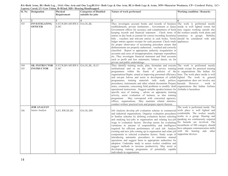| Sl. No     | <b>Designation</b>                         | Physical<br>Requirement                      | <b>Categories of Disabled</b><br>suitable for jobs | Nature of work performed                                                                                                                                                                                                                                                                                                                                                                                                                                                                                                                                                                                                                                                                                                                                                                                                                                                                                                                                                                                                                                                                                                                                         | <b>Working condition / Remarks</b>                                                                                                                                                                                                                                                                                     |
|------------|--------------------------------------------|----------------------------------------------|----------------------------------------------------|------------------------------------------------------------------------------------------------------------------------------------------------------------------------------------------------------------------------------------------------------------------------------------------------------------------------------------------------------------------------------------------------------------------------------------------------------------------------------------------------------------------------------------------------------------------------------------------------------------------------------------------------------------------------------------------------------------------------------------------------------------------------------------------------------------------------------------------------------------------------------------------------------------------------------------------------------------------------------------------------------------------------------------------------------------------------------------------------------------------------------------------------------------------|------------------------------------------------------------------------------------------------------------------------------------------------------------------------------------------------------------------------------------------------------------------------------------------------------------------------|
|            |                                            |                                              |                                                    | 5                                                                                                                                                                                                                                                                                                                                                                                                                                                                                                                                                                                                                                                                                                                                                                                                                                                                                                                                                                                                                                                                                                                                                                |                                                                                                                                                                                                                                                                                                                        |
| 103        | <b>INVESTIGATING</b><br><b>OFFICER</b>     | S.ST, W, BN.MF.RW.S<br>E.HC                  | OA, OL, BL                                         | They investigate account books and records of business The work is performed mostly<br>establishments, private institutions, Government or Quasi inside in well lighted rooms but<br>Government offices for accuracy and completeness of book may require working outside also<br>keeping records and financial statement. Check items of the workers usually work alone and<br>entries in day book or journal for correct recording Scrutinise sometices in groups. Mobility<br>bills, vouchers and relevent entries in cash books. Verify should be considered with aids<br>ledger entries against receipts for cash payment. Check totals appliances.<br>for proper observance of accounting procedure ensure that<br>disbursements are properly authorised, vouched and correctly<br>classified . Report to appropriate authority irregularities in<br>accounts and cases of misappropriation, improper expenditure<br>etc. They investigate financial statement and final accounts<br>such as profit and loss statements, balance sheets, etc for<br>private and public undertakings.                                                                       |                                                                                                                                                                                                                                                                                                                        |
| 104<br>105 | <b>SR. INSTRUCTOR</b><br><b>INSTRUCTOR</b> | S.ST, W, BN.MF.RW.S OA, OL, BL, B.LV<br>E.HC |                                                    | They identify training needs, plan, formulate and execute The work is performed mostly<br>instituitional and or on the jobs in service training inside except for practical training<br>programmes within the frame of policies of the in organisations like Indian Air<br>organisations/Deptts. aimed at improving personnel efficiency lines. The work place inside is well<br>and out-put Advise and assist in development of syllabi lighted The work in general<br>programmes, training materials /aids study polices, organisations does not involve any<br>procedures, instruments and other related documents Prepare hazards. However, work in<br>notes, comments, concerning field problems to modify/ draft organizations like Indian Airlines<br>operational instructions. Suggest suitable speaker/trainers for AirIndia is hazardous.<br>specific area of training, advise on approprite training<br>activity, assist evaluation of trainees, as also training<br>programme. May correspond with concerned agencies,<br>offices, organisations, .May maintain related statistics,<br>conduct written/ practical tests and prepare reports thereon. |                                                                                                                                                                                                                                                                                                                        |
| 106        | <b>JOB ANALYST</b><br>Junior Analyst       | S, ST, RW, SE, HC                            | OA.OL.HH                                           | Job Analysts develop job evaluation scheme in commercial<br>and industrial organizations. Organise evaluation procedures<br>to finalise schemes by defining evaluation factors selecting<br>and studying key-jobs in organisation and relating key-job<br>wage to evaluation factors. Develop norms for evaluating<br>variations in amount of responsibility and intelligence<br>required for efficient performance of each job. Analyse<br>existing and new jobs coming up in organiation and relate job<br>components to selected evaluation factors. Study scope of supportine devices.<br>introducing automatic procedures to minimise manual<br>operations and suggest them to appropriate authorities for<br>adoption. Undertake study to assess worker condition and<br>suggest methods to increase productivity. May assist in<br>developing training programme of potentially capable<br>individuals in organisation.                                                                                                                                                                                                                                   | The work is performed inside. The<br>work place is well lighted and<br>comfortable. The worker usually<br>works in a group. Hearing and<br>speaking are continuously required<br>No hazards are involved. The<br>incumbents of HH category should<br>have adequate communication skills<br>with the hearing aids other |

**BA=Both Arms, BL=Both Leg, , OAL=One Arm and One Leg,BLOA= Both Legs & One Arm, BLA=Both Legs & Arms, MW=Muscu1ar Weakness, CP= Cerebra1 Pa1sy, LC= Leprosy Cured, LV=Low Vision, B=B1ind, HH= Hearing Handicapped**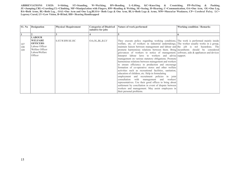|                   | <b>S1. No Designation</b>                                                                                            | <b>Physica1 Requirement</b> | <b>Categories of Disabled</b><br>suitable for jobs | Nature of work performed                                                                                                                                                                                                                                                                                                                                                                                                                                                                                                                                                                                                                                                                                                                                                                                                                                                                                                                                                                                                                                                                                                                            | <b>Working condition / Remarks</b> |
|-------------------|----------------------------------------------------------------------------------------------------------------------|-----------------------------|----------------------------------------------------|-----------------------------------------------------------------------------------------------------------------------------------------------------------------------------------------------------------------------------------------------------------------------------------------------------------------------------------------------------------------------------------------------------------------------------------------------------------------------------------------------------------------------------------------------------------------------------------------------------------------------------------------------------------------------------------------------------------------------------------------------------------------------------------------------------------------------------------------------------------------------------------------------------------------------------------------------------------------------------------------------------------------------------------------------------------------------------------------------------------------------------------------------------|------------------------------------|
|                   |                                                                                                                      |                             |                                                    |                                                                                                                                                                                                                                                                                                                                                                                                                                                                                                                                                                                                                                                                                                                                                                                                                                                                                                                                                                                                                                                                                                                                                     |                                    |
| 107<br>108<br>109 | <b>LABOUR</b><br><b>WELFARE</b><br><b>OFFICERS</b><br>Labour Officer<br>Welfare Officer<br>Labour Welfare<br>Officer | S.ST.W.RW.SE.HC             | OA, OL, BL, B.LV                                   | They execute policy regarding working conditions, The work is performed mainly inside<br>welfare, etc. of workers in industrial undertakings, The worker usually works in a group,<br>maintain liaison between management and labour and the job is not hazardous. The<br>promote harmonious relations between them. Bring incumbents should be considered<br>grievances of workers to notice of management. software, aids & appliances and devices<br>Interpret labour laws to workers and advise support.<br>management on various statutory obligations. Promote<br>harmonious relations between management and workers<br>to ensure efficiency in production and encourage<br>formation of co-operative stores and other welfare<br>activities such as recreational facilities, sanitation,<br>education of children, etc. Help in formulating<br>employment and recruitment policies in joint<br>consultation with management and workers'<br>representatives. Use their good offices to bring about<br>settlement by conciliation in event of dispute between<br>workers and management. May assist employees in<br>their personal problems. |                                    |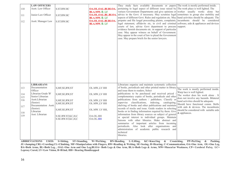|     | <b>LAW OFFICERS</b>  |                   |                      | They study facts available documents or papers The work is mostly performed inside.              |                                                                            |
|-----|----------------------|-------------------|----------------------|--------------------------------------------------------------------------------------------------|----------------------------------------------------------------------------|
| 110 | Asstt. Law Officer   | S.ST.RW.HC        | OA.OL.OAL.BLBLOA.    | pertaining to legal aspect of different issue raised by The work place is well lighted. The      |                                                                            |
|     |                      |                   | <b>BLA.MW. B. LV</b> | variuos Government Departments and give opinions or worker usually works alone but               |                                                                            |
| 111 | Junior Law Officer   | S.ST.RW.HC        | OA.OL.OAL.BL.BLOA.   | advice to the Govt. if necessary. May scrutnise legal                                            | sometimes in group also mobility and                                       |
|     |                      |                   | <b>BLA.MW. B. LV</b> | aspects of different Govt. Rules and regulation etc. May hand activities should be adequate. The |                                                                            |
| 112 | Asstt. Manager Law   | S.ST.RW.HC        | OA.OL.OAL.BLBLOA.    | prepatre and file leagal proceeding plaints, complaints, incumbents should be considered         |                                                                            |
|     |                      |                   | <b>BLA.MW. B. LV</b> | legal statement, affidavits etc, in civil and criminal                                           | software, aids & appliances and devices                                    |
|     |                      |                   |                      | courts of law, advise Govt department to procure                                                 | support.                                                                   |
|     |                      |                   |                      | evidence furnish documents etc. in support of particular                                         |                                                                            |
|     |                      |                   |                      | case. May appear witness on behalf of Government.                                                |                                                                            |
|     |                      |                   |                      | May appear in the court of law to plead the Government                                           |                                                                            |
|     |                      |                   |                      | case. May prepare briefs for the senior lawyers.                                                 |                                                                            |
|     |                      |                   |                      |                                                                                                  |                                                                            |
|     |                      |                   |                      |                                                                                                  |                                                                            |
|     |                      |                   |                      |                                                                                                  |                                                                            |
|     |                      |                   |                      |                                                                                                  |                                                                            |
|     |                      |                   |                      |                                                                                                  |                                                                            |
|     |                      |                   |                      |                                                                                                  |                                                                            |
|     |                      |                   |                      |                                                                                                  |                                                                            |
|     |                      |                   |                      |                                                                                                  |                                                                            |
|     |                      |                   |                      |                                                                                                  |                                                                            |
|     |                      |                   |                      |                                                                                                  |                                                                            |
|     |                      |                   |                      |                                                                                                  |                                                                            |
|     |                      |                   |                      |                                                                                                  |                                                                            |
|     |                      |                   |                      |                                                                                                  |                                                                            |
|     | <b>LIBRARIANS</b>    |                   |                      | Librarians organise and maintain systematic collection                                           |                                                                            |
| 113 | Documentation        | S, MF, SE, RW, ST | OL.MW.,LV HH         | of books, periodicals and other printed matter in library                                        |                                                                            |
|     | Officer              |                   |                      | and issue them to readers, Select                                                                | The work is mostly performed inside.                                       |
| 114 | Librarian Grade 'B'  | S, MF, SE, RW, ST | OL.MW.,LV HH         | publications to be purchased and received priced                                                 | Warp lace is well lighted.                                                 |
| 115 | Senior Librarian     |                   |                      | complementary copies of books, periodicals and other                                             | The worker does his work alone. It                                         |
| 116 | Asstt.Librarian      | S, MF, SE, RW, ST | OL.MW.,LV HH         | publications from authors / publishers. Classify or                                              | does not involve any hazards. Bilateral                                    |
|     | (Senior)             | S, MF, SE, RW, ST | OL.MW.,LV HH         | supervise classifications, indexing, cataloguing,                                                | hand activities should be adequate.                                        |
| 117 | Documentation Asstt. |                   |                      | shelving of books and other publications and maintain                                            | Should have functional comm. Skills<br>with aids & devices. The incumbents |
|     | (Senior)             | S, MF, SE, RW, ST | OL.MW. LV HH,        | records of stocks and issue. Guide readers in selecting                                          | should be considered with suitable aids                                    |
| 118 | Librarian            |                   |                      | books or in finding information required by them. Give                                           | & appliances.                                                              |
| 119 | Asst. Librarian      | S.SE.RW.ST,KC,H,C | OA.OL.HH             | information from library sources on subject of general                                           |                                                                            |
|     |                      | S.SE.RW.ST,KC,H,C | OA.OL.HH             | or special interest to individual groups. Maintain                                               |                                                                            |
|     |                      |                   |                      | liaisons with other libraries. Make abstract and                                                 |                                                                            |
|     |                      |                   |                      | summaries of important articles from incoming                                                    |                                                                            |
|     |                      |                   |                      | periodicals. Also look after organisations<br>and                                                |                                                                            |
|     |                      |                   |                      | administration of academic public research and<br>technical                                      |                                                                            |
|     |                      |                   |                      | libraries.                                                                                       |                                                                            |
|     |                      |                   |                      |                                                                                                  |                                                                            |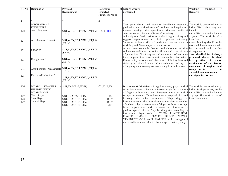| $\overline{S1}$ . No | <b>Designation</b>             | Physica1                                       | <b>Categories</b> | of Nature of work                                                                                                             | <b>Working</b><br>condition                                |
|----------------------|--------------------------------|------------------------------------------------|-------------------|-------------------------------------------------------------------------------------------------------------------------------|------------------------------------------------------------|
|                      |                                | Requirement                                    | Disab1ed          | performed                                                                                                                     | <b>Remarks</b>                                             |
|                      |                                |                                                | suitable for jobs |                                                                                                                               |                                                            |
|                      |                                |                                                |                   |                                                                                                                               |                                                            |
|                      |                                | $\overline{\mathbf{3}}$                        | 4                 | 5                                                                                                                             |                                                            |
|                      | <b>MECHANICAL</b>              |                                                |                   | They plan, design and supervise installation, operation, The work is performed mostly                                         |                                                            |
|                      | <b>ENGINEERS</b>               |                                                |                   | production and maintainance of machines and equipment.<br>Prepare drawings with specification showing details of humid,       | inside Work place may not                                  |
| 120                  | Asstt. Engineer*               | S, ST, W, BN, KC, PP, BN, L, MF, RW OA. OL. HH |                   | construction and direct installation of machinery                                                                             | noisy. Work is usually done in                             |
|                      |                                | ,SE,HC.                                        |                   | and equipment. Study performance of existing machinery and $ a $ group. The work is of a                                      |                                                            |
|                      | Asstt.Manager (Engg.)          | S, ST, W, BN, KC, PP, BN, L, MF, RW            |                   | suggest improvements to obtain optimum efficiency. hazardous                                                                  |                                                            |
| 121                  |                                | ,SE,HC                                         |                   | Supervise technical side of production. Inspect work in nature. Mobility should not be                                        |                                                            |
|                      |                                |                                                |                   | workshop at different stages of production to                                                                                 | restricted. Incumbents should                              |
| 122                  | Surveyor                       | S, ST, W, BN, KC, PP, BN, L, MF, RW            |                   | ensure correct standards. Conduct methods studies and time be considered with suitable                                        |                                                            |
|                      |                                | ,SE,HC                                         |                   | and motion studies and determine efficient and economic way                                                                   | aids/appliances.                                           |
|                      |                                |                                                |                   | of production. Direct reapairs and maintnence of workshop<br>tools equipement and accessories to ensure efficient operation.  | *Not identified for Railways<br>personnel who are involved |
| 123                  | Draughtsman*                   | S, ST, W, BN, KC, PP, BN, L, MF, RW            |                   | Ensure safety measures and observance of factory laws and in operation of trains,                                             |                                                            |
|                      |                                | ,SE,HC                                         |                   | statutory provisions. Examine indents and direct checking                                                                     | mantenance of rail tracks,                                 |
|                      |                                |                                                |                   | of outgoing and incoming stores according to specifications.                                                                  | movement of engines and                                    |
| 124                  | Asstt.Foreman (Mechanical)     | S,ST,W,BN,KC,PP,BN,L,MF,RW                     |                   |                                                                                                                               | compartments<br>in                                         |
|                      |                                | ,SE,HC                                         |                   |                                                                                                                               | yards, telecommunication                                   |
| 125                  | Foreman(Production)*           | S, ST, W, BN, KC, PP, BN, L, MF, RW            |                   |                                                                                                                               | and signalling works.                                      |
|                      |                                | ,SE,HC                                         |                   |                                                                                                                               |                                                            |
|                      |                                |                                                |                   |                                                                                                                               |                                                            |
| 126                  | <b>MUSIC TEACHER</b>           | S, ST, BN, MF, SE, H, RW,                      | OL, BL, B, LV     | Instrumental Musician, (String Instrument) plays musical The work is performed mostly                                         |                                                            |
|                      | <b>INSTRUMENTAL</b>            |                                                |                   | string instruments of Indian or Western origin by movement inside. Work place may not be                                      |                                                            |
|                      | <b>MUSICIAN SR.</b>            |                                                |                   | of fingers or bow on strings. Rehearses music on musical noisy. Work is usually done in                                       |                                                            |
| 127                  | Veena Player                   | S, ST, BN, MF, SE, H, RW,                      | OL, BL, B, LV     | stringed instruments. Tunes instrument to required pitch and $\alpha$ group. The work is not of                               |                                                            |
| 128                  | Sitar Player<br>Sarangi Player | S, ST, BN, MF, SE, H, RW                       | OL, BL, B, LV     | harmony with other instruments. Plays singly or hazardous nature<br>inaccompaniment with other singers or musicians as member |                                                            |
| 129                  |                                | S, ST, BN, MF, SE, H, RW                       | OL, BL, B, LV     | of orchestra, by set movements of fingers or bow on strings.                                                                  |                                                            |
|                      |                                | S, ST, BN, MF, SE, H, RW                       | OL, BL, B, LV     | May compose own music or invent own instrument to                                                                             |                                                            |
|                      |                                |                                                |                   | produce special effects. May be designated according to                                                                       |                                                            |
|                      |                                |                                                |                   | instruments played such as VEENA PLAYER, SITAR                                                                                |                                                            |
|                      |                                |                                                |                   | PLAYER, SARANGI PLAYER, SAROD PLAYER,                                                                                         |                                                            |
|                      |                                |                                                |                   | VIOLINIST/BASS PLAYER, HARPIST, etc. Record types of                                                                          |                                                            |
|                      |                                |                                                |                   | music and instruments able to play and specialisation, if any.                                                                |                                                            |
|                      |                                |                                                |                   |                                                                                                                               |                                                            |
|                      |                                |                                                |                   |                                                                                                                               |                                                            |
|                      |                                |                                                |                   |                                                                                                                               |                                                            |
|                      |                                |                                                |                   |                                                                                                                               |                                                            |
|                      |                                |                                                |                   |                                                                                                                               |                                                            |
|                      |                                |                                                |                   |                                                                                                                               |                                                            |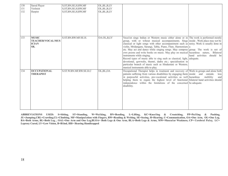| 130<br>131<br>132 | Sarod Player<br>Violinist<br>Harpist                            | S, ST, BN, SE, H, RW, MF<br>S, ST, BN, SE, H, RW, MF<br>S, ST, BN, SE, H, RW, MF | OL, BL, B, LV<br>OL, BL, B, LV<br>OL, BL, B, LV |                                                                                                                                                                                                                                                                                                                                                                                                                                                                                                                                                                                                                                                                                                                                                                                               |                           |
|-------------------|-----------------------------------------------------------------|----------------------------------------------------------------------------------|-------------------------------------------------|-----------------------------------------------------------------------------------------------------------------------------------------------------------------------------------------------------------------------------------------------------------------------------------------------------------------------------------------------------------------------------------------------------------------------------------------------------------------------------------------------------------------------------------------------------------------------------------------------------------------------------------------------------------------------------------------------------------------------------------------------------------------------------------------------|---------------------------|
| 133               | <b>MUSIC</b><br><b>TEACHER/VOCAL/MUS</b><br><b>ICIAN</b><br>SR. | S.ST.BN.RW.MF.SE.H.                                                              | OA.OL,B,LV                                      | Vocalist sings Indian or Western music either alone or in The work is performed mostly<br>group, with or wihout musical accompaniments. Sings inside . Work place may not be<br>classical or light songs with other accompaniment such as noisy. Work is usually done in<br>violin, Mridangam, Sarangi, Tabla, Piano, Flute, Harmonium a<br>etc. May act and dance while singing songs. May compose group. The work is not of<br>own poems and write books on music. May play on musical hazardous nature, Bilateral<br>instruments while singing.<br>Record types of music able to sing such as classical, light, adequate.<br>devotional, qawwalis, thumri, dadra etc.; specialisation in<br>particular branch of music such as Hindustani or Western;<br>musical instruments able to play. | hand activities should be |
| 134               | <b>OCCUPATIONAL</b><br><b>THERAPIST</b>                         | S.ST.W.BN.MF.RW.SE.H.C                                                           | OL, BL, OA                                      | Occupational Therapist helps in treatment and recovery of Work in groups and alone both<br>patients suffering from various disabilities by engaging them inside and outside.<br>in purposeful activities, pre-vocational activities as well hazardous<br>helping them to regain the highest level of functional bilateral hand activities should<br>independence within the limitations of the concerned be adequate.<br>disability.                                                                                                                                                                                                                                                                                                                                                          | less<br>mobility<br>and   |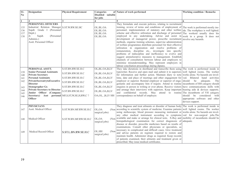| $\overline{\textbf{S1}}$ .<br>$\mathbf{N}\mathbf{0}$ | <b>Designation</b>                                                                                                                                                                                                                                                                                                                | <b>Physical Requirement</b>                                                                                                | <b>Categories</b><br>Disabled suitable<br>for jobs                                                                                       | of Nature of work performed                                                                                                                                                                                                                                                                                                                                                                                                                                                                                                                                                                                                                                                                                                                                                                                                                                                                                            | <b>Working condition / Remarks</b>                                                                                                                                                                                                                 |
|------------------------------------------------------|-----------------------------------------------------------------------------------------------------------------------------------------------------------------------------------------------------------------------------------------------------------------------------------------------------------------------------------|----------------------------------------------------------------------------------------------------------------------------|------------------------------------------------------------------------------------------------------------------------------------------|------------------------------------------------------------------------------------------------------------------------------------------------------------------------------------------------------------------------------------------------------------------------------------------------------------------------------------------------------------------------------------------------------------------------------------------------------------------------------------------------------------------------------------------------------------------------------------------------------------------------------------------------------------------------------------------------------------------------------------------------------------------------------------------------------------------------------------------------------------------------------------------------------------------------|----------------------------------------------------------------------------------------------------------------------------------------------------------------------------------------------------------------------------------------------------|
| $\mathbf{1}$                                         | $\overline{2}$                                                                                                                                                                                                                                                                                                                    | $\overline{\mathbf{3}}$                                                                                                    | 4                                                                                                                                        | 5                                                                                                                                                                                                                                                                                                                                                                                                                                                                                                                                                                                                                                                                                                                                                                                                                                                                                                                      | 6                                                                                                                                                                                                                                                  |
| 135<br>136<br>137<br>138                             | PERSONNEL OFFICERS<br>Industrial Relation Manager S.ST.W.RW.SE.HC<br>Supdt. Grade I (Personnel<br>Deptt.)<br>Jr.<br>Supdt.<br>(Personnel<br>Adminis.)<br>Asstt. Personnel Officer                                                                                                                                                 |                                                                                                                            | OL.BL.OA<br>OL.BL.OA<br>OL.BL.OA<br>OL.BL.OA                                                                                             | They formulate and execute policies, relating to recruitment<br>training, review of terms and conditions of employment of<br>personnel, implementation of statutory and other welfare<br>scheme and effective utilization and discharge of personnel<br>employed in any undertaking. Advise and assist in<br>development of managerial power, prescribe recruitment<br>methods, organise training schemes, supervise administration<br>of welfare programmes distribute personnel for their effective<br>utilization in organization and resolve problems of<br>remuneration, discipline etc., investigate into specific<br>problems of indiscipline and inefficiency to evolve and<br>suggest ammeliorative measures to management. Establish<br>channels of consultation between labour and employers to<br>minimise misunderstanding. May represent employers in<br>labour conciliation proceedings during diputes. | The work is performed mostly ins-<br>ide. The workplace is well lighted.<br>The workerd usually does his<br>work in a group. It does not<br>involve any hazards.                                                                                   |
| 139<br>140<br>141<br>142<br>143<br>144<br>145<br>146 | PERSONAL ASSTT.<br><b>Senior Personal Assistants</b><br><b>Private Secretary</b><br><b>Personal Assistants</b><br>PrivateSecreatrytoExecutive<br><b>Director</b><br>Stenographer Gr.<br><b>Private Secretary to Director</b><br>Junior Officer (Company<br>Secretary) Asst personal MF, S, ST, W, SE, H, RW, C?<br><b>Officer</b> | S.ST.BN.RW.SE.H.C<br>S.ST.BN.RW.SE.H.C<br>S.ST.BN.RW.SE.H.C<br>S.ST.BN.RW.SE.H.C<br>S.ST.BN.RW.SE.H.C<br>S.ST.BN.RW.SE.H.C | OL, BL.OA, B, LV<br>OL, BL.OA, B, LV<br>OL, BL.OA, B, LV<br>OL, BL.OA, B, LV<br>OL, BL.OA, B, LV<br>OL, BL.OA, B, LV<br>OA, OL, B, LV HH | They take dictations in shorthand and transcribe them using The work is performed inside in<br>typewriter. Receive and open mail and submit it to superiors well lighted rooms. The worker<br>for information and further action. Maintain diary to note<br>time, date and place of meetings and other engagement for<br>employer or superior. Remind employer or superior of enga- should be<br>gements and accomapany him if require. Attend to routine incumbents of HH category should<br>enquires in person in writing or over phone. Receive visitors<br>and arrange their interviews with superiors. Keep important hearing aids $\&$ devices supports.<br>and confidential records. May attend to routine<br>correspondence on behalf of employer.                                                                                                                                                             | works alone. No hazards are invol-<br>ved. Bilateral hand activities<br>adequate.<br>The<br>have communications skills with<br>The incumbents of VH category<br>should be considered<br>with<br>appropriate software and other<br>devices support. |
| 147                                                  | <b>PHYSICIANS</b><br>Asstt. Medical Officer<br>Medical Officer                                                                                                                                                                                                                                                                    | S.ST.W.BN.MF.RW.SE.H.C                                                                                                     | OL, OA<br>surgical jobs)<br>OL.OA<br>(Non                                                                                                | They diagnose and treat ailments or disorder of human body The work is performed inside in<br>(Non according to scientific system of medicine. Examine patients<br>using stethoscope, blood pressure measuring instrument or<br>any other medical instrument according to symptoms<br>available and make or arrange for clinical tests. X-Ray and                                                                                                                                                                                                                                                                                                                                                                                                                                                                                                                                                                      | well lighted rooms. The worker<br>works alone. No hazards are invol-<br>ved for non-surgical jobs. The<br>mobility of incumbents should be                                                                                                         |
| 148<br>149                                           | Medical Record Officer                                                                                                                                                                                                                                                                                                            | S.ST.W.BN.MF.RW.SE.H.C<br>S.ST.L.BN.RW.SE.H.C                                                                              | surgical jobs)<br>OL.HH<br>(Non<br>surgical jobs)                                                                                        | histopathological examination for correct diagonosis of<br>disease or disorder, prescribe medicines based on results of<br>examinations. Consult other physicians or specialists, as<br>necessary in complicated and difficult cases. Give treatment<br>and advise patients on regimen required to restore and<br>maintain health. Administer drugs as required. Keep records<br>of patients examined, their ailments and treatment given or<br>prescribed. May issue medical certificates.                                                                                                                                                                                                                                                                                                                                                                                                                            | adequate.                                                                                                                                                                                                                                          |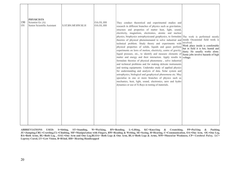| 150<br>151 | <b>PHYSICISTS</b><br>Scientist Gr. (A)<br>Senior Scientifie Assistant | S.ST.BN.MF.RW.SE.H | OA.OL.HH<br>OA.OL.HH | They conduct theoretical and experimental studies and<br>research in different branches of physics such as gravitation,<br>structure and properties of matter heat, light, sound,<br>electricity, magnetism, electronics, atomic and nuclear<br>physics, biophysics astrophysicsand geophysics, to formulate The work is performed mostly<br>theories of physical phenomenaand to solve industrial and inside Occasional field work is<br>technical problem. Study theory and experiments with<br>physical properties of solids, liquids and gases perform<br>experiments on laws of motion, electricity, centre of gravity,<br>liquid pressure, etc., to identify and measure elements of<br>matter and energy and their interaction. Apply results to<br>formulate theories of physical phenomena, solve industrial<br>and technical problems and for making delicate instruments<br>and testing equipments. Undertake study of applied physics<br>for understanding and analysis of data. Solar system and<br>astrophysics, biological and geophysical phenomena etc. May<br>specialise in one or more branches of physics such as<br>mechanics, heat, light, sound, electronics, aero and hydro<br>dynamics or use of X-Rays in testing of materials. | involved.<br>Work place inside is comfortable<br>but in field it is hot, humid and<br>dusty. He usually works alone.<br>Some jobs involve hazards of high<br>voltage. |
|------------|-----------------------------------------------------------------------|--------------------|----------------------|-----------------------------------------------------------------------------------------------------------------------------------------------------------------------------------------------------------------------------------------------------------------------------------------------------------------------------------------------------------------------------------------------------------------------------------------------------------------------------------------------------------------------------------------------------------------------------------------------------------------------------------------------------------------------------------------------------------------------------------------------------------------------------------------------------------------------------------------------------------------------------------------------------------------------------------------------------------------------------------------------------------------------------------------------------------------------------------------------------------------------------------------------------------------------------------------------------------------------------------------------------------|-----------------------------------------------------------------------------------------------------------------------------------------------------------------------|
|------------|-----------------------------------------------------------------------|--------------------|----------------------|-----------------------------------------------------------------------------------------------------------------------------------------------------------------------------------------------------------------------------------------------------------------------------------------------------------------------------------------------------------------------------------------------------------------------------------------------------------------------------------------------------------------------------------------------------------------------------------------------------------------------------------------------------------------------------------------------------------------------------------------------------------------------------------------------------------------------------------------------------------------------------------------------------------------------------------------------------------------------------------------------------------------------------------------------------------------------------------------------------------------------------------------------------------------------------------------------------------------------------------------------------------|-----------------------------------------------------------------------------------------------------------------------------------------------------------------------|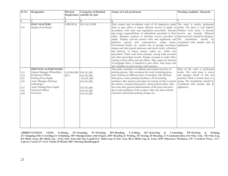| S1.No                                         | <b>Designation</b>                                                                                                                                                                                                     | Physical<br>Requiremen       | <b>Categories of Disabled</b><br>suitable for jobs                      | Nature of work performed                                                                                                                                                                                                                                                                                                                                                                                                                                                                                                                                                                                                                                                                                                                                                                                                                                                                                                                                                                                                                                                                                                                                                            | <b>Working condition / Remarks</b>                                                                                                                                                                                        |
|-----------------------------------------------|------------------------------------------------------------------------------------------------------------------------------------------------------------------------------------------------------------------------|------------------------------|-------------------------------------------------------------------------|-------------------------------------------------------------------------------------------------------------------------------------------------------------------------------------------------------------------------------------------------------------------------------------------------------------------------------------------------------------------------------------------------------------------------------------------------------------------------------------------------------------------------------------------------------------------------------------------------------------------------------------------------------------------------------------------------------------------------------------------------------------------------------------------------------------------------------------------------------------------------------------------------------------------------------------------------------------------------------------------------------------------------------------------------------------------------------------------------------------------------------------------------------------------------------------|---------------------------------------------------------------------------------------------------------------------------------------------------------------------------------------------------------------------------|
|                                               |                                                                                                                                                                                                                        | $\overline{\mathbf{4}}$      | 5                                                                       | 6                                                                                                                                                                                                                                                                                                                                                                                                                                                                                                                                                                                                                                                                                                                                                                                                                                                                                                                                                                                                                                                                                                                                                                                   |                                                                                                                                                                                                                           |
| 152                                           | <b>POST MASTERS</b><br>Deputy Post-Master                                                                                                                                                                              | S.RW, SE.H                   | OL.OA.LV.HH                                                             | They control and co-ordinate work of all employees under The work is mostly performed<br>them in post office to ensure efficient service to public in inside. The place is well lighted.<br>accordance with rules and regulations prescribed. Allocate Workers work alone. It doesnot<br>and assign responsibilities of subordinate personnel in their involve any hazards. Bilateral<br>office. Maintain counters to facilitate service provided to hand activities should be adequate.<br>public. Display relevant posters rules and regulations and The incumbents<br>publicise special and comemorative stamp issues, considered with suitable aids &<br>Government bonds, etc. control sale of postage envelopes, appliances<br>stamps and other postal stationary and check timely collection<br>and delivery of letters, money orders etc. within area<br>prescribed. Check cash book amounts, saving bank accounts<br>and other prescribed records. Render accounts to audit office<br>relating to their office and sub offices. May supervise function<br>of telegraph office, if attached to post office. May keep cash<br>and valuables in joint custody with treasurer. | should be                                                                                                                                                                                                                 |
| 153<br>154<br>155<br>156<br>157<br>158<br>159 | PRINTING SUPERVISORS<br>Deputy Manager (Photolitho)<br>Production Officer<br>Printing Press Supdt.<br>Asstt. Manager (Printing<br>technology)<br>Asstt. Printing Press Supdt.<br><b>Technical Officer</b><br>Overseers | S.ST.BN.RW. OA.OL,HH<br>SE.C | OA.OL, HH<br>OA.OL,HH<br>OA.OL,HH<br>OA.OL, HH<br>OA.OL,HH<br>OA.OL, HH | They plan, scrutinise, co-ordinate and control activities of<br>printing presses. May scrutinise the work of printing press<br>men working on different types of machines, like flat bed-<br>letter-press, rotary printing machines, off-set printing<br>machines, May instruct and supervise mixing of inks to match<br>the colours, examine final proofs, check printed copies. May<br>also look after general administration of the press and solve<br>day-to-day problems of the workers. May also deal with the<br>customers and decide printing charges etc.                                                                                                                                                                                                                                                                                                                                                                                                                                                                                                                                                                                                                  | Most of the work is performed<br>inside. The work place is noisy<br>and pungent Smell of inks are<br>common. Work is mostly done is a<br>group. The incumbents should be<br>considered with suitable aids &<br>appliances |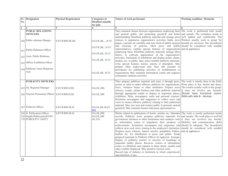| S1.<br>N <sub>0</sub> | <b>Designation</b>                                                                 | <b>Physical Requirement</b> | <b>Categories of</b><br><b>Disabled suitable</b> | Nature of work performed                                                                                                                                                                                                                                                                                                                                                                                                                                                                                                                                                                                                                                                                                                                                                                                                                                                                                                                                                                                                                                                                                                                                                  | <b>Working condition / Remarks</b>                                   |
|-----------------------|------------------------------------------------------------------------------------|-----------------------------|--------------------------------------------------|---------------------------------------------------------------------------------------------------------------------------------------------------------------------------------------------------------------------------------------------------------------------------------------------------------------------------------------------------------------------------------------------------------------------------------------------------------------------------------------------------------------------------------------------------------------------------------------------------------------------------------------------------------------------------------------------------------------------------------------------------------------------------------------------------------------------------------------------------------------------------------------------------------------------------------------------------------------------------------------------------------------------------------------------------------------------------------------------------------------------------------------------------------------------------|----------------------------------------------------------------------|
|                       |                                                                                    |                             | for jobs                                         |                                                                                                                                                                                                                                                                                                                                                                                                                                                                                                                                                                                                                                                                                                                                                                                                                                                                                                                                                                                                                                                                                                                                                                           |                                                                      |
| $\mathbf{1}$          | $\overline{2}$                                                                     | 3                           | 4                                                | 5                                                                                                                                                                                                                                                                                                                                                                                                                                                                                                                                                                                                                                                                                                                                                                                                                                                                                                                                                                                                                                                                                                                                                                         |                                                                      |
|                       | <b>PUBLIC RELATIONS</b><br><b>OFFICERS</b><br>160 Public relations Manger          | S.ST.W.RW.SE.HC             | OA.OL, BL, , BLV                                 | They maintain liaison between organisations employing them The work is performed both inside<br>and general public and promoting goodwill and better and outside. The workplace inside is<br>understanding Distribute publicity material and arrange press well lighted and comfortable The<br>releases to popularize organisation's activities Study news Workers usually work in group No<br>papers j ournals etc carefully and note trend of public opinion hazards are involved. The incumbents<br>and criticism of policies. Meet press and public should be considered with suitable                                                                                                                                                                                                                                                                                                                                                                                                                                                                                                                                                                                |                                                                      |
|                       | 161 Public Relations Officer                                                       |                             | OA.OL, BL, BLV                                   | representatives, explain special features of organisations aids & appliances<br>employing them. Distribute publicity materials arrange films                                                                                                                                                                                                                                                                                                                                                                                                                                                                                                                                                                                                                                                                                                                                                                                                                                                                                                                                                                                                                              |                                                                      |
|                       | 162 Asstt. Public Relations                                                        |                             | OA.OL, BL, BLV                                   | shows, to cultivate appreciation of the organisation's<br>activities. Participate in exhibitions and display poster, charts,                                                                                                                                                                                                                                                                                                                                                                                                                                                                                                                                                                                                                                                                                                                                                                                                                                                                                                                                                                                                                                              |                                                                      |
|                       | 163 Officer Exhibition Oficer                                                      |                             | OA.OL, BL, BLV                                   | models, etc. to public. May select suitable publicity materials,<br>write special features aricles, reports or phamplets. May                                                                                                                                                                                                                                                                                                                                                                                                                                                                                                                                                                                                                                                                                                                                                                                                                                                                                                                                                                                                                                             |                                                                      |
|                       | 164 Publicity/ Guest Relations<br>Asst.                                            |                             | OA.OL, BL, BLV                                   | prepare other audiovisual aids. May edit journals or<br>periodicals for publishing activities of establishment or<br>organisations May maintain information centre and organise<br>community relations activities.                                                                                                                                                                                                                                                                                                                                                                                                                                                                                                                                                                                                                                                                                                                                                                                                                                                                                                                                                        |                                                                      |
|                       | <b>PUBLICITY OFFICERS</b>                                                          |                             |                                                  | They prepare publicity material and issue it through press,                                                                                                                                                                                                                                                                                                                                                                                                                                                                                                                                                                                                                                                                                                                                                                                                                                                                                                                                                                                                                                                                                                               | The work is mostly done in the field.                                |
|                       | 165 Dy. Regional Manager<br>166 Tourism Promotion Officer S.ST.W.RW.H.SE           | S.ST.W.RW.H.SE              | OA.OL.HH.<br>OA.OL.HH.                           | screen or radio to attain effective publicity for organisations,<br>Govt., business house or other institution. Prepare news The worker usually work in the group.<br>releases, scripts, salient features and other publicity material It does not involve any hazards.<br>through appropriate media to display at important places, Should have functional comm.<br>exhibition, films, newspapers, radio and personal contacts.<br>Scrutinise newspapers and magazines to collect news and                                                                                                                                                                                                                                                                                                                                                                                                                                                                                                                                                                                                                                                                               | Work place is hot, humid and dusty.<br>Skills with aids & . devices. |
|                       | 167 Publicity Officer                                                              | S.ST.W.RW.SE.H              | OA, OL, BL, B, LV.<br>HH                         | views to ensure effective publicity relating to their publicised<br>material. May tour area and contact public to promote mutual<br>goodwill. May maintain liaison with press representatives.                                                                                                                                                                                                                                                                                                                                                                                                                                                                                                                                                                                                                                                                                                                                                                                                                                                                                                                                                                            |                                                                      |
|                       | 168 Jr. Publication Officer<br>169 Supdt.(Publication)SVDV<br>170 PUBLICITY ASSTT. | S.ST.W.RW.SE.H              | OA, OL, HH<br>OA, OL, HH<br>OL.OA.               | Works related to publication of books, articles etc. Maintain The work is mostly performed inside<br>records. Publicity Asstt. prepares publicity materials for and outside. The work place is well lid<br>government, business or other institutions and conducts visits it does not involves any hazrds.<br>in information centre to popularise their products or Mobility and communication skills<br>achievements. Scrutinises newspapers and magazines and should be adequate. The incumbents<br>collects news and views relating to his employer's institution. should be considered with suitable<br>Prepares press releases, feature articles, pamphlets, folders, aids & appliances<br>leaflets etc. for distribution to press and public. Sends<br>prepared materials to Publicity Officer for approval. Arranges<br>display of publicity posters or erection of hoardings at<br>important public places. Receives visitors at information<br>centre or exhibition and explains to them charts, models and<br>other exhibits displayed. May attend to clerical work.<br>Record type of industry or institution in which experienced;<br>specialisation, if any. |                                                                      |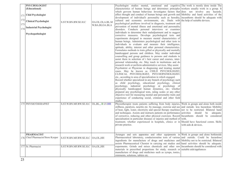|     | <b>PSYCHOLOGIST</b>               |                                        |                                 | Psychologist studies mental, emotional and cognitive The work is mostly done inside The               |                           |
|-----|-----------------------------------|----------------------------------------|---------------------------------|-------------------------------------------------------------------------------------------------------|---------------------------|
|     | (Educational)                     |                                        |                                 | characteristics of human beings and determines principles workers usually work in a group. It         |                           |
|     |                                   |                                        |                                 | which grovern human behaviour. Investigates factors that does not involve any hazards.                |                           |
|     | 171 Chid Psychologist             |                                        |                                 | affect thought and conduct of human beings and growth and Mobility and hand activities of the         |                           |
|     |                                   |                                        |                                 | development of individual's personality such as heredity, incumbents should be adequate with          |                           |
| 172 | <b>Clinical Psychologist</b>      | S.ST.W.BN.RW.SE.H.C                    |                                 | cultural and economic environments, etc. Deals with the help of suitable devices.                     |                           |
| 173 |                                   |                                        | OA.OL.OLA.BL.M<br>W.BA.BLOA.BLA | psychological problems involved in diagnosis, treatment and                                           |                           |
|     | <b>Industrial Psychologist</b>    |                                        |                                 | prevention of mental illness and emotional and personality                                            |                           |
| 174 |                                   |                                        |                                 | disorders. Conducts personal interviews or examines                                                   |                           |
|     | Psychopathologist                 |                                        |                                 | individuals to determine their maladjustment and to suggest                                           |                           |
|     |                                   |                                        |                                 | corrective measures. Develops psychological tests and                                                 |                           |
|     |                                   |                                        |                                 | experiments designed to measure mental characteristics of                                             |                           |
|     |                                   |                                        |                                 | human beings. Administers psychological and other tests to                                            |                           |
|     |                                   |                                        |                                 | individuals to evaluate and measure their intelligence,                                               |                           |
|     |                                   |                                        |                                 | aptitude, ability, interest and other personal characteristics.                                       |                           |
|     |                                   |                                        |                                 | Formulates methods to train gifted or physically and mentally                                         |                           |
|     |                                   |                                        |                                 | handicapped persons and children. May render individual                                               |                           |
|     |                                   |                                        |                                 | counselling and group guidance to persons and students to                                             |                           |
|     |                                   |                                        |                                 | assist them in selection of t heir career and courses, inter-                                         |                           |
|     |                                   |                                        |                                 | personal relationship, etc. May teach in institutions and do                                          |                           |
|     |                                   |                                        |                                 | research work or perform administrative services. May assist                                          |                           |
|     |                                   |                                        |                                 | Psychiatrist or Physician in diagnosing and treating mental                                           |                           |
|     |                                   |                                        |                                 | cases. May be known as CHILD PSYCHOLOGIST,                                                            |                           |
|     |                                   |                                        |                                 | CLINICAL PSYCHOLOGIST, PSYCHOPATHOLOGIST,                                                             |                           |
|     |                                   |                                        |                                 | etc., according to area of specialization in which engaged.                                           |                           |
|     |                                   |                                        |                                 | Record whether specialized in any branch of psychology such                                           |                           |
|     |                                   |                                        |                                 | as child psychology, educational psychology, clinical                                                 |                           |
|     |                                   |                                        |                                 | psychology, industrial psychology or psychology of                                                    |                           |
|     |                                   |                                        |                                 | physically handicapped human dynamics, etc; whether                                                   |                           |
|     |                                   |                                        |                                 | prepared any psychological tests, rating scales or any other                                          |                           |
|     |                                   |                                        |                                 | objective tool for measuring mental and personality traits and                                        |                           |
|     |                                   |                                        |                                 | experience of conducting social, criminal and other field                                             |                           |
|     |                                   |                                        |                                 | studies.                                                                                              |                           |
|     | 175 PHYSIOTHERAPIST               | S.ST.W.BN.MF.RW.SE.H.C OL,BL,, B LV.HH |                                 | Physiotherapist treats patients suffering from body injuries, Work in groups and alone both inside    |                           |
|     |                                   |                                        |                                 | stiffness, paralysis, neuritis etc. by massage, exercise and use and outside. less hazardous Mobility |                           |
|     |                                   |                                        |                                 | of heat, light, water, electricity and special therapy machines not to be restricted. Bilateral hand  |                           |
|     |                                   |                                        |                                 | and techniques. Assists and instructs patients on performance activities                              | should<br>be<br>adequate. |
|     |                                   |                                        |                                 | of corrective, reducing and other physical exercises. Record Incumbents should be considered          |                           |
|     |                                   |                                        |                                 | specialisation in particular diseases or injuries and method of with.                                 |                           |
|     |                                   |                                        |                                 | treatment; whether experienced in hospitals, clinics or in Should have functional comm. Skills        |                           |
|     |                                   |                                        |                                 | private practice.                                                                                     | with aids & devices.      |
|     |                                   |                                        |                                 |                                                                                                       |                           |
|     |                                   |                                        |                                 |                                                                                                       |                           |
|     | <b>PHARMACIST</b>                 |                                        |                                 | Arranges and sets apparatus and other equipments in Work in groups and alone bothinside               |                           |
|     | 176 Chief Pharmacist/Store Keeper | S.ST.W.BN.MF.RW.SE.H.C   OA, OL, HH    |                                 | Pharmaceutical laboratory, conducts routine tests of various and outside. Could be hazardous          |                           |
|     |                                   |                                        |                                 | ingredients for manufacture of drugs and medicines and Mobility not to be restricted. Bilateral       |                           |
|     |                                   |                                        |                                 | assists Pharmaceutical Chemist in carrying out studies and hand activities should be adequate.        |                           |
|     | 177 Sr. Pharmacist                | S.ST.W.BN.MF.RW.SE.H.C OA,OL,HH        |                                 | experiments. Grinds and mixes chemicals and other raw Incumbents should be considered with            |                           |
|     |                                   |                                        |                                 | materials in prescribed proportions for study, research or suitable aids/appliances                   |                           |
|     |                                   |                                        |                                 | manufacture of drugs and medicines such as syrups, tonics,                                            |                           |
|     |                                   |                                        |                                 | ointments, solutions, tablets etc.                                                                    |                           |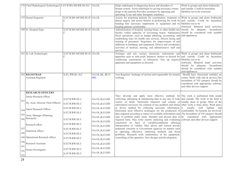|     | 178 Chief Radiological Technologist S.ST.W.BN.MF.RW.SE.H.C OA,OL |                                  |                         | Helps radiologist in diagnosing deseas and disorders of<br>human system. Assits radiologist by giving necessary certain<br>drugs to the patients. Provides assistance by adjusting and<br>operating X-ray and other theraputic machines.                                                                                                                                                                                                                                                                                                                 | Work in groups and alone bothinside<br>and outside. Could be hazardous<br>Mobility not to be restricted                                                                                 |
|-----|------------------------------------------------------------------|----------------------------------|-------------------------|----------------------------------------------------------------------------------------------------------------------------------------------------------------------------------------------------------------------------------------------------------------------------------------------------------------------------------------------------------------------------------------------------------------------------------------------------------------------------------------------------------------------------------------------------------|-----------------------------------------------------------------------------------------------------------------------------------------------------------------------------------------|
|     | 179 Dental Hygienist                                             | S.ST.W.BN.MF.RW.SE.H OA.OL       |                         | Assists for preparing patients for examination, treatment or Work in groups and alone bothinside<br>dental surgery and assists Dentist in performing his work by and outside. Could be hazardous<br>handing him necessary implements or equipment and by Mobility not to be<br>keeping patients comfortable.                                                                                                                                                                                                                                             | restricted. Bilateral hand activities                                                                                                                                                   |
|     | 180 Sr. Hospital Supt.                                           | S.ST.W.BN.MF.RW.SE.H OA.OL       |                         | Administration of hospital, nursing home, or other health care should be adequate. Incumbents<br>facility within authority of Governing board. Administers should be considered with suitable<br>fiscal operations, such as budget planning, accounting, and aids/appliances<br>establishing rates for health care services. Directs hiring and<br>training of personnel. Negotiates for improvement of and<br>additions to buildings and equipment. Directs and coordinates<br>activities of medical, nursing, and administrative staff and<br>services |                                                                                                                                                                                         |
|     | 181 Sr. Lab Technologist                                         | S.ST.W.BN.MF.RW.SE.H OA.OL       |                         | Arranges and sets various chemicals, instruments and Work in groups and alone bothinside<br>apparatus such as salts, acids, balances, heaters as desired for $ $ and outside. Could be hazardous<br>conducting experiments in laboratory. Sets up required Mobility not to be<br>apparatus and equipment as directed.                                                                                                                                                                                                                                    | restricted. Bilateral hand activities<br>should be adequate. Incumbents<br>should be considered with suitable<br>aids/appliances                                                        |
|     | 182 REGISTRAR<br>Assistant Registrar                             | S, ST, RW, SE, H, C              | OA, OL, BL, BLV.<br>HH. | Asst Registrar -Incharge of section and responsible for normal<br>working                                                                                                                                                                                                                                                                                                                                                                                                                                                                                | Should have functional mobility an<br>comm. Skills with aids & devices. The<br>incumbent of VH category should be<br>considered with appropriate software<br>and other devices support. |
|     | <b>RESEARCH OFFICERS</b>                                         |                                  |                         |                                                                                                                                                                                                                                                                                                                                                                                                                                                                                                                                                          |                                                                                                                                                                                         |
| 183 | Junior Research officer                                          | S.ST.W.RW.SE.C                   | OA.OL,B,LV,HH           | They develop and apply most effective methods for The work is performed both inside<br>collecting, tabulating $\&$ interpreting data in any one of wide and outside. The work in the field is                                                                                                                                                                                                                                                                                                                                                            |                                                                                                                                                                                         |
|     | Dy. Asstt. Director (Non-Officer)                                | S.ST.W.RW.SE.C                   | OA.OL,B,LV,HH           | variety of fields. Determine character and volume of usually done in group. Most of the<br>information necessory for solution of any problem and obtain other work is done alone. Work place                                                                                                                                                                                                                                                                                                                                                             |                                                                                                                                                                                         |
|     | 184 Junior Research Officer                                      | S.ST.W.RW.SE.C                   | OA.OL,B,LV,HH           | or devise method for collecting necessary information is usually well lighted and                                                                                                                                                                                                                                                                                                                                                                                                                                                                        |                                                                                                                                                                                         |
|     |                                                                  | S.ST.W.RW.SE.C                   | OA.OL,B,LV,HH           | Determine most effective techniques for the production of comfortable. No hazards are involved.<br>data required according to nature of available information and The incumbent of VH category should                                                                                                                                                                                                                                                                                                                                                    |                                                                                                                                                                                         |
|     | 185 Asstt. Manager (Planning<br>$186$ Research)                  | S.ST.W.RW.SE.C                   | OA.OL,B,LV,HH           | type of problem under study. Interpret and present data in be considered with appropriate                                                                                                                                                                                                                                                                                                                                                                                                                                                                |                                                                                                                                                                                         |
|     | Research offcer                                                  | S.ST.W.RW.SE.C                   | OA.OL,B,LV,HH           | required form. May write reports analyisng and evaluating software and other devices support.<br>conclusion on basis of variablesconditions affecting                                                                                                                                                                                                                                                                                                                                                                                                    |                                                                                                                                                                                         |
| 187 |                                                                  | S.ST.W.RW.SE.C                   | OA.OL,B,LV,HH           | interpretation of validity. May advise and consult private<br>industrial concerns or Government agencise on matters such                                                                                                                                                                                                                                                                                                                                                                                                                                 |                                                                                                                                                                                         |
| 188 | Statistical officer                                              |                                  | OA.OL,B,LV,HH           | as operating efficiency, marketing methods and fiscal                                                                                                                                                                                                                                                                                                                                                                                                                                                                                                    |                                                                                                                                                                                         |
|     | 189 Operational Research officer                                 | S.ST.W.RW.SE.C<br>S.ST.W.RW.SE.C | OA.OL,B,LV,HH           | problems. Research work maintenance of the equipment,<br>controlling of the operators, New designs and development.                                                                                                                                                                                                                                                                                                                                                                                                                                      |                                                                                                                                                                                         |
| 190 |                                                                  |                                  | OA.OL,B,LV,HH           |                                                                                                                                                                                                                                                                                                                                                                                                                                                                                                                                                          |                                                                                                                                                                                         |
| 191 | Research Assistant                                               | S.ST.W.RW.SE.C                   | OA.OL,B,LV,HH           |                                                                                                                                                                                                                                                                                                                                                                                                                                                                                                                                                          |                                                                                                                                                                                         |
| 192 | Senior Investigator                                              | S.ST.W.RW.SE.C                   | OA.OL,B,LV,HH           |                                                                                                                                                                                                                                                                                                                                                                                                                                                                                                                                                          |                                                                                                                                                                                         |
| 193 |                                                                  | S.ST.W.RW.SE.C                   | OA.OL,B,LV,HH           |                                                                                                                                                                                                                                                                                                                                                                                                                                                                                                                                                          |                                                                                                                                                                                         |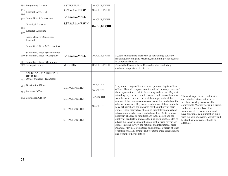|            | 194 Programme Assistant                                                  | S.ST.W.RW.SE.C    | OA.OL,B,LV,HH |                                                                                                                                                                                                                                                                                                                                                                                                                                |                                                                                                                                                  |
|------------|--------------------------------------------------------------------------|-------------------|---------------|--------------------------------------------------------------------------------------------------------------------------------------------------------------------------------------------------------------------------------------------------------------------------------------------------------------------------------------------------------------------------------------------------------------------------------|--------------------------------------------------------------------------------------------------------------------------------------------------|
| 195<br>196 | Research Asstt. Gr.I                                                     | S.ST.W.RW.MF.SE.H | OA.OL,B,LV,HH |                                                                                                                                                                                                                                                                                                                                                                                                                                |                                                                                                                                                  |
| 197        | Senior Scientific Assistant                                              | S.ST.W.RW.MF.SE.H | OA.OL,B,LV,HH |                                                                                                                                                                                                                                                                                                                                                                                                                                |                                                                                                                                                  |
| 198        | <b>Technical Assistant</b>                                               | S.ST.W.RW.MF.SE.H | OA.OL,B,LV,HH |                                                                                                                                                                                                                                                                                                                                                                                                                                |                                                                                                                                                  |
| 199        | Research Associate                                                       |                   |               |                                                                                                                                                                                                                                                                                                                                                                                                                                |                                                                                                                                                  |
|            | Asstt. Manager (Operation<br>Research)                                   |                   |               |                                                                                                                                                                                                                                                                                                                                                                                                                                |                                                                                                                                                  |
|            | Scientific Officer A(Electronics)                                        |                   |               |                                                                                                                                                                                                                                                                                                                                                                                                                                |                                                                                                                                                  |
|            | Scientific Officer B(Electronics)                                        |                   |               |                                                                                                                                                                                                                                                                                                                                                                                                                                |                                                                                                                                                  |
|            | 200 Scientific Officer A(Computer)<br>201 Scientific Officer B(Computer) | S.ST.W.RW.MF.SE.H | OA.OL,B,LV,HH | System Maintenance , Hardware & networking, software<br>installing, servicing and repairing, maintaining office records<br>in computer database.                                                                                                                                                                                                                                                                               |                                                                                                                                                  |
|            | 202 Sr.Project fellow                                                    | MF, S, H, RW      | OA.OL,B,LV,HH | Assists the Project officer. Researchers for conducting<br>analysis, compilation of data etc.                                                                                                                                                                                                                                                                                                                                  |                                                                                                                                                  |
|            | <b>SALES AND MARKETING</b>                                               |                   |               |                                                                                                                                                                                                                                                                                                                                                                                                                                |                                                                                                                                                  |
|            | <b>OFFICERS</b>                                                          |                   |               |                                                                                                                                                                                                                                                                                                                                                                                                                                |                                                                                                                                                  |
| 203        | Officer Manager (Technical)                                              |                   |               |                                                                                                                                                                                                                                                                                                                                                                                                                                |                                                                                                                                                  |
| 204        | Distribution Officer                                                     | S.ST.W.RW.SE.HC   | OA.OL.HH      | They are in charge of the stores and purchase deptts. of their                                                                                                                                                                                                                                                                                                                                                                 |                                                                                                                                                  |
|            | 205 Purchase Officer                                                     |                   | OA.OL.HH      | offices. They take steps to note the sale of various products of<br>their organisations, both in the country and abroad. May visit<br>intending buyers, negotiate terms and conditions of business                                                                                                                                                                                                                             |                                                                                                                                                  |
|            | 206 Circulation Officer                                                  | S.ST.W.RW.SE.HC   | OA.OL.HH      | with them and convince them of their superiority of the<br>product of their organisations over that of the products of the                                                                                                                                                                                                                                                                                                     | The work is performed both inside<br>and outride. Extensive touring is<br>involved. Work place is usually                                        |
|            |                                                                          | S.ST.W.RW.SE.HC   | OA.OL.HH      | other organisations May arrange exhibition of their products.<br>May get pamphlets etc. prepared for the publicity of their<br>goods. Keeps themselves abreast of their latest national and<br>international market trends and advise their Deptt. to make                                                                                                                                                                     | comfortable. Worker works in a group.<br>No hazards are involved. The<br>incumbent of HH category should<br>have functional communication skills |
|            |                                                                          | S.ST.W.RW.SE.HC   |               | necessary changes or modifications in the design and the<br>quality of products to increase their selling potential. May so<br>advise the Departments on the most viable price for various<br>goods, keeping in view the national and international price<br>structure. May deal with stores and purchase officers of other<br>organisations. May arrange and/ or attend trade delegations to<br>and from the other countries. | with the help of devices. Mobility and<br>bilateral hand activities should be<br>adequate.                                                       |
|            |                                                                          |                   |               |                                                                                                                                                                                                                                                                                                                                                                                                                                |                                                                                                                                                  |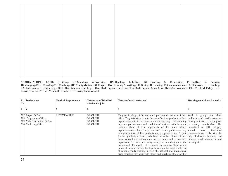|          | <b>S1.</b> Designation        | <b>Physical Requirement</b> | <b>Categories of Disabled</b> | Nature of work performed                                                                                                                                        | <b>Working condition / Remarks</b> |
|----------|-------------------------------|-----------------------------|-------------------------------|-----------------------------------------------------------------------------------------------------------------------------------------------------------------|------------------------------------|
| $\bf No$ |                               |                             | suitable for jobs             |                                                                                                                                                                 |                                    |
|          |                               |                             |                               |                                                                                                                                                                 |                                    |
|          | 207 Project Officer           | S.ST.W.RW.SE.H              | OA.OL.HH                      | They are incaling of the stores and purchase department of thier Work in groups and alone                                                                       |                                    |
|          | 208 Programme Officer         |                             | OA.OL.HH                      | office. They take steps to note the sale of various products of their bothinside and outside extensive                                                          |                                    |
|          | 209 Milk Distribution Officer |                             | OA.OL.HH                      | organisation both in the country and abroad, may visit intending touring is involved, work place                                                                |                                    |
|          | 210 Marketing Officer         |                             | OA.OL.HH                      | buyers negociate terms and condition of business with them and is usually comfortable. The                                                                      |                                    |
|          |                               |                             |                               | convince them of their superiority of the prodet of their incumbent of HH category<br>organisation over that of the products of other organiosation, may should | have<br>functional                 |
|          |                               |                             |                               | arrange exabition of their products, may get pemplets etc. Prepare communication skills with the                                                                |                                    |
|          |                               |                             |                               | for their publicity of their goods, keep themselves abrests of their help of devices. Mobility and                                                              |                                    |
|          |                               |                             |                               | latest national amd international market trands and advice their bilateral hand activities should                                                               |                                    |
|          |                               |                             |                               | department. To make necessary change or modification in the be adequate.                                                                                        |                                    |
|          |                               |                             |                               | design and the quality of products, to increase their selling<br>potential, may so advice the departments on the most viable rise                               |                                    |
|          |                               |                             |                               | of various goods, keeping in view the national and international                                                                                                |                                    |
|          |                               |                             |                               | price structure may deal with stores and purchase officer of ther                                                                                               |                                    |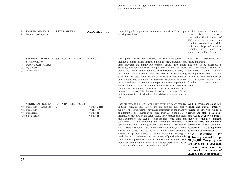|                                                                                                                          |                                        |                                                   | organisation. May arrange or attend trade delogation and to and<br>from the other countries.                                                                                                                                                                                                                                                                                                                                                                                                                                                                                                                                                                                                                                                                                                                                                                                                                                                                                                                                                                                                                                                                                                                                                                                                                                                                         |                                                                                                                                                                                                                            |
|--------------------------------------------------------------------------------------------------------------------------|----------------------------------------|---------------------------------------------------|----------------------------------------------------------------------------------------------------------------------------------------------------------------------------------------------------------------------------------------------------------------------------------------------------------------------------------------------------------------------------------------------------------------------------------------------------------------------------------------------------------------------------------------------------------------------------------------------------------------------------------------------------------------------------------------------------------------------------------------------------------------------------------------------------------------------------------------------------------------------------------------------------------------------------------------------------------------------------------------------------------------------------------------------------------------------------------------------------------------------------------------------------------------------------------------------------------------------------------------------------------------------------------------------------------------------------------------------------------------------|----------------------------------------------------------------------------------------------------------------------------------------------------------------------------------------------------------------------------|
| 211 SYSTEM ANALYST<br>212 Data processing Oprt.                                                                          | S.ST.RW.MF.SE.H                        | OA.OL.BL.LV.HH                                    | Maintaining all computer and equipments related to IT in proper Work in groups and alone inside<br>working condition.                                                                                                                                                                                                                                                                                                                                                                                                                                                                                                                                                                                                                                                                                                                                                                                                                                                                                                                                                                                                                                                                                                                                                                                                                                                | place<br>is<br>work<br>usually<br>comfortable The incumbent of<br>HH category should have<br>functional communication skills<br>with the help of devices.<br>Mobility and bilateral hand<br>activities should be adequate. |
| <b>SECURITY OFFICERS</b><br>213 Security Officer<br>214 Deputy Security Officer<br>215 Dy. Security<br>216 Officer Gr. I | S.ST.W.JU.PP.RW.SE.H                   | OA.OL.HH                                          | They plan, control and supervise security arrangement of The work is performed both<br>individual plants, establishments buildings, men, materials and inside and outside.<br>other movable and immovable property against fire, thefts, The job can be hazardous at<br>pilferage, unathourized entry and personnel hazards to check times. Incumbents should be<br>works and administrative buildings men unauthorised entry of considered<br>man and passage of material. Issue gate passes to visitors desiring aids/appliances. Mobility should<br>entry into restricted premises and check security personnel on not be restricted. Incumbent pf<br>duty. Enquire into complaints of unauthorised entry of men and HH category<br>material and cases of theft etc. and report the matter to police for functional<br>futher action. Maintain discipline amongst security personnel. skills.<br>May assist fire-fighting personnel in case of fire. Inward &<br>outward of letters, Distribution & collction of exam forms,<br>maintain record of distribution of marksheets, prepare identity<br>card.                                                                                                                                                                                                                                                          | With<br>suitable<br>should have<br>communication                                                                                                                                                                           |
| <b>STORES OFFICERS*</b><br>217 Stores Officer Assistant<br>218 Stores Officer<br>219 Storekeeper<br>220 Stock Verifier   | S.ST.W.BN.L.MF.RW.SE.H<br>$\mathsf{C}$ | OA.OL.LV HH<br>OA.OLLV HH<br>OA.OL.HH<br>OA.OL.HH | They are responsible for the availbility of various goods required Work in groups and alone both<br>in their office, section, factory, etc, and also for their proper inside and outside extensive<br>supply to the actual users. They make assessment of the quantity touring is involved Work in<br>of different items required at specified intervals on the basis of groups and alone both inside<br>information provided by the actual users. They contact producers, and outside extensive touring is<br>manufacturers or the agents to discuss and settle terms and involved. Mobility, bilateral<br>conditions of sale including the minimum standards or hand activities and functional<br>specifications to which the goods must conform. May call tenders communication skill should be<br>from different suppliers, and place orders for supplying these, assessed with aids $\&$ appliances<br>Ensure that goods supplied conform to the agreed standards. $\&$ assistive devices support.<br>Arange for proper storage of goods including spraying of $*\text{Not}$ identified for<br>pesticides to kill white ants, rats, etc. in case of perishable goods.<br>May maintain proper accounts of purchase and supplies. May<br>look after general administartion of the stores department and be<br>administrative Incharge of the junior stores staff. | Railways personnel (except<br>OL, LV, HH Category) who<br>are involved in operation<br>of trains, mantenance of<br>rail tracks, movement of<br>engines and compartments                                                    |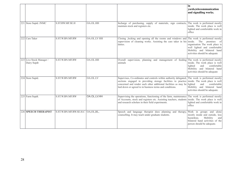|                                         |                                  |                    |                                                                                                                                                                                                                                                                                                         | in<br>vards, telecommunication<br>and signalling works.                                                                                                        |
|-----------------------------------------|----------------------------------|--------------------|---------------------------------------------------------------------------------------------------------------------------------------------------------------------------------------------------------------------------------------------------------------------------------------------------------|----------------------------------------------------------------------------------------------------------------------------------------------------------------|
| 221 Store Suptd. JNMC                   | S.ST.RW.MF.SE.H                  | OA.OL.HH           | Incharge of purchasing, supply of materials, sign contracts,<br>maintain stock and registers etc.                                                                                                                                                                                                       | The work is performed mostly<br>inside. The work place is well<br>lighted and comfortable work in<br>office                                                    |
| 222 Care Taker                          | S.ST.W.BN.MF.RW                  | <b>OA.OL.LV HH</b> | Closing ,locking and opening all the rooms and windows and The work is performed mostly<br>supervision of cleaning works. Assisting the care taker in his inside. The premises of<br>duties.                                                                                                            | organisation The work place is<br>well lighted and comfortable<br>Mobility and bilateral hand<br>activities should be adequate                                 |
| 223 Live Stock Manager /<br>Dairy Supdt | S.ST.W.BN.MF.RW                  | OA.OL.HH           | supervision, planning and management of feeding The work is performed mostly<br>Overall<br>animals                                                                                                                                                                                                      | inside. The work place is well<br>comfortable<br>lighted<br>and<br>Mobility and bilateral hand<br>activities should be adequate                                |
| 224 Store Suptd.                        | S.ST.W.BN.MF.RW                  | OA.OL.LV           | Supervises, Co-ordinates and controls within authority delegated,<br>sections engaged in providing storage facilities to practice inside. The work place is well<br>concerned and render such other additional facilities as may be lighted<br>laid down or agreed to in business terms and conditions. | The work is performed mostly<br>comfortable<br>and<br>Mobility and bilateral hand<br>activities should be adequate.                                            |
| 225 Farm Supdt.                         | S.ST.W.BN.MF.RW                  | OA.OL.LV.HH        | Supervising the operations, functioning of the farm, maintenance<br>of Accounts, stock and registers etc. Assisting teachers, students<br>and research scholars in their field experiments.                                                                                                             | The work is performed mostly<br>inside. The work place is well<br>lighted and comfortable work in<br>office                                                    |
| 226 SPEECH THERAPIST                    | S.ST.W.BN.MF.RW.SE.H.C OA,OL,BL, |                    | Speech and language therapist does planning and therapy,<br>counselling. It may teach under graduate students.                                                                                                                                                                                          | Work in groups and alone<br>mostly inside and outside, less<br>hazardous.<br>Mobility<br>and<br>bilateral hand activities of the<br>person should be adequate. |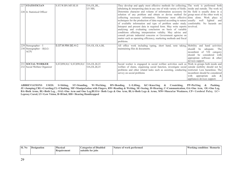| 227 STATISTICIAN             | S.ST.W.BN.MF.SE.H               | OA, OL, BL,   | They develop and apply most effective methods for collecting, The work is performed both                |                                  |
|------------------------------|---------------------------------|---------------|---------------------------------------------------------------------------------------------------------|----------------------------------|
|                              |                                 | LV HH,        | tabulating $\&$ interpreting data in any one of wide variety of fields. Inside and outside. The work in |                                  |
| 228 Jr. Statistical Officer  |                                 |               | Determine character and volume of information accessory for the field is usually done in a              |                                  |
|                              |                                 |               | solution of any problem and obtain or devise method for group most of the other work is                 |                                  |
|                              |                                 |               | collecting necessary information. Determine most effective done alone. Work place is                    |                                  |
|                              |                                 |               | techniques for the production of data required according to nature usually well lighted                 | and                              |
|                              |                                 |               | of available information and type of problem under study comfortable. No hazards are                    |                                  |
|                              |                                 |               | Interpret and present data in required form. May write reports involved.                                |                                  |
|                              |                                 |               | analyisng and evaluating conclusion on basis of variable                                                |                                  |
|                              |                                 |               | conditions affecting interpretation validity. May advise and                                            |                                  |
|                              |                                 |               | consult private industrial concerns or Government agencise on                                           |                                  |
|                              |                                 |               | matter such as operating efficiency, marketing methods and fiscal                                       |                                  |
|                              |                                 |               | problems.                                                                                               |                                  |
| $229$ Stenographer – I       | S.ST.W.RW.SE.H.C                | OA.OL.OLA.BL  | All office work including typing, short hand, note taking, Mobility and hand activities                 |                                  |
| $230$ Stenographer – II(LG-  |                                 |               | maintaining files & documents.                                                                          | should<br>be<br>adequate. The    |
| ACP)                         |                                 |               |                                                                                                         | incumbent of VH category         |
|                              |                                 |               |                                                                                                         | should be considered<br>with     |
|                              |                                 |               |                                                                                                         | appropriate software $\&$ other  |
|                              |                                 |               |                                                                                                         | devices support.                 |
| 231 SOCIAL WORKER            | S, ST, RW, H, C S, ST, RW, H, C | OA, OL, B, LV | Social worker is engageed in social welfare activities such as Work in groups both inside and           |                                  |
| 232 Social Welfare Organizer |                                 | OA, OL, B, LV | welfare of slums, organising social function, investigate social outside mobility should not be         |                                  |
|                              |                                 |               | problems and other related tasks such as assisting, conducting restricted. Less hazardous. The          |                                  |
|                              |                                 |               | servey on social problems                                                                               | incumbent should be considered   |
|                              |                                 |               |                                                                                                         | with<br>aids $\&$<br>appropriate |
|                              |                                 |               |                                                                                                         | appliances devices support.      |

| <b>SI. No</b> | <b>Desis</b><br><b>ugnation</b> | <b>Physical</b><br>Requirement | <b>Categories of Disabled</b><br>tor tobs<br>suitable | Nature of work performed | 'Working<br>condition / Remarks |
|---------------|---------------------------------|--------------------------------|-------------------------------------------------------|--------------------------|---------------------------------|
|---------------|---------------------------------|--------------------------------|-------------------------------------------------------|--------------------------|---------------------------------|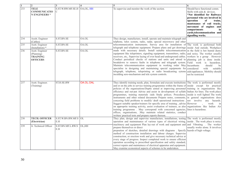|     | $\overline{2}$        | $\overline{3}$              |           | 5                                                                                                     | 6                                |
|-----|-----------------------|-----------------------------|-----------|-------------------------------------------------------------------------------------------------------|----------------------------------|
| 233 | <b>TELE</b>           | S.ST.W.RW.MF.SE.H OA,OL, HH |           | To supervise and monitor the work of the section.                                                     | Should have functional comm.     |
|     | <b>COMMUNICATIO</b>   | С                           |           |                                                                                                       | Skills with aids & devices.      |
|     | <b>N ENGINEERS*</b>   |                             |           |                                                                                                       | *Not identified for Railways     |
|     |                       |                             |           |                                                                                                       | personnel who are involved in    |
|     |                       |                             |           |                                                                                                       | operation<br>of<br>trains,       |
|     |                       |                             |           |                                                                                                       | mantenance of rail tracks,       |
|     |                       |                             |           |                                                                                                       | movement of engines and          |
|     |                       |                             |           |                                                                                                       | compartments<br>in               |
|     |                       |                             |           |                                                                                                       | yards, telecommunication and     |
|     |                       |                             |           |                                                                                                       | signalling works.                |
| 234 | Assitt. Engineer      | S.ST.BN.SE                  | OA.OL     | They design, manufacture, install, operate and maintain telegraph and                                 |                                  |
|     | (Cables)              |                             |           | telphone, telex system, radio, radar, special microwave and other                                     |                                  |
| 235 | Asstt. Engineer       | S.ST.BN.SE                  | OA.OL     | telecommunication instruments. Survey area for installation of The work is performed both             |                                  |
|     | (Installation) *      |                             |           | telegraph and telephone equipment. Prepare plans and get drawings inside And outside. Workplace       |                                  |
| 236 | Asstt. Engineer       | S.ST.BN.SE                  | OA.OL     | made with necessary details. Install suitable telecommunication in the field is hot humid dusty       |                                  |
|     | (Planning)            |                             |           | equipment like teleprinters, signaling equipment, transmitters, radio, and noisy. The worker usually  |                                  |
|     | <b>TRAINING</b>       |                             |           | receivers, etc. Supervise laying of over head and underground cables. workers in a group. However     |                                  |
|     | <b>OFFICERS</b>       |                             |           | Conduct periodical checks of stations and units and attend to planning job is done inside.            |                                  |
|     |                       |                             |           | breakdown to remove faults in telephone and telegraph system. Field work                              | is hazardous.                    |
|     |                       |                             |           | Maintain telecommunication equipment in working order May Incumbents                                  | should<br>be                     |
|     |                       |                             |           | specialise in designing and maintaining special equipments for considered                             | with<br>suitable                 |
|     |                       |                             |           | telegraph, telephone, teleprinting or radio broadcasting sytems aids/appliances. Mobility should      |                                  |
|     |                       |                             |           | inculding sero-mechanism and tele system controls.                                                    | not be restricted                |
|     |                       |                             |           |                                                                                                       |                                  |
|     |                       |                             |           |                                                                                                       |                                  |
| 237 | Asstt. Engineer.      | ST.H.SE.RW                  | OA.OL.OAL | They identify training needs, plan, formulate and execute instituitions The work is performed mostly  |                                  |
|     | (Training)            |                             |           | and or on the jobs in service training programmes within the frame of inside except for practical     |                                  |
|     |                       |                             |           | policies of the organisations/Deptts aimed at improving personnel training in organisations like      |                                  |
|     |                       |                             |           | efficiency and out-put Advise and assist in development of syllabi Indian Air lines. The work place   |                                  |
|     |                       |                             |           | programmes, training materials /aids Study polices. Procedures, inside is well lighted The work       |                                  |
|     |                       |                             |           | instruments and other related documents Prepare notes, comments, in general organisations does        |                                  |
|     |                       |                             |           | concering field problems to modify/ draft operational instructions                                    | not involve any hazards.         |
|     |                       |                             |           | Suggest suitable speaker/trainers for specific area of training, advise However                       | work<br>in                       |
|     |                       |                             |           | on approprite training activity, assist evaluation of trainees, as also organizations like Indian Air |                                  |
|     |                       |                             |           | training programme. May correspond with concerned agencies, lines is hazardous.                       |                                  |
|     |                       |                             |           | offices, organisations, .May maintain related statistics, conduct                                     |                                  |
|     |                       |                             |           | written/ practical tests and prepare reports thereon.                                                 |                                  |
| 238 | <b>TECH. OFFICER</b>  | S.ST.W.BN.RW.MF.S OL        |           | They plan, design and supervise manufacture, installations, testing The work is performed mostly      |                                  |
|     | (Electrician)         | E.H                         |           | operation and maintainance of various types of electrical wiring,                                     | inside. The work place is noisy  |
| 239 | Jr. Technical Officer | S.ST.BN.MF.L.RW.S           | OL, HH    | machinery and equipment Plan lay-out of work and equipment and and Vibrating . The worker             |                                  |
|     |                       | E.H                         |           | prepare themselves or direct                                                                          | usually works alone. It involves |
|     |                       |                             |           | prepration of sketches, detailed drawings with diagrams. Specify hazrds of high voltage.              |                                  |
|     |                       |                             |           | method of construction installation and labour charges. Supervise                                     |                                  |
|     |                       |                             |           | construction, or erection work and give necessary technical advice at                                 |                                  |
|     |                       |                             |           | every stage of progress. Inspect completed work to ensure efficient                                   |                                  |
|     |                       |                             |           | operation according to prescribed specification and safety standard,                                  |                                  |
|     |                       |                             |           | correct repairs and maintainece of electrical apparatus and equipment.                                |                                  |
|     |                       |                             |           | May examine economical aspects of schemes to be undertaken.                                           |                                  |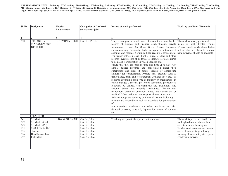| SI. No                                        | <b>Designation</b>                                                                                                           | Physica1<br>Requirement              | <b>Categories of Disab1ed</b><br>suitable for jobs                                                                                              | Nature of work performed                                                                                                                                                                                                                                                                                                                                                                                                                                                                                                                                                                                                                                                                                                                                                                                                                                                                                                                                                                                                                                                                                                                                                                                                                                                                                                                                                                                                                                                                                                                                                                                                                      | <b>Working condition / Remarks</b>                                                                                                                                                                                                             |
|-----------------------------------------------|------------------------------------------------------------------------------------------------------------------------------|--------------------------------------|-------------------------------------------------------------------------------------------------------------------------------------------------|-----------------------------------------------------------------------------------------------------------------------------------------------------------------------------------------------------------------------------------------------------------------------------------------------------------------------------------------------------------------------------------------------------------------------------------------------------------------------------------------------------------------------------------------------------------------------------------------------------------------------------------------------------------------------------------------------------------------------------------------------------------------------------------------------------------------------------------------------------------------------------------------------------------------------------------------------------------------------------------------------------------------------------------------------------------------------------------------------------------------------------------------------------------------------------------------------------------------------------------------------------------------------------------------------------------------------------------------------------------------------------------------------------------------------------------------------------------------------------------------------------------------------------------------------------------------------------------------------------------------------------------------------|------------------------------------------------------------------------------------------------------------------------------------------------------------------------------------------------------------------------------------------------|
| 1                                             | $\overline{2}$                                                                                                               |                                      |                                                                                                                                                 |                                                                                                                                                                                                                                                                                                                                                                                                                                                                                                                                                                                                                                                                                                                                                                                                                                                                                                                                                                                                                                                                                                                                                                                                                                                                                                                                                                                                                                                                                                                                                                                                                                               |                                                                                                                                                                                                                                                |
| 240                                           | <b>TREASURY</b><br><b>MANAGEMENT</b><br><b>OFFICER</b>                                                                       | S.ST.W.BN.MF.SE.H. OA,OL,OAL,BL<br>С |                                                                                                                                                 | They ensure proper maintenance of account, accounts books, The work is mostly performed<br>records of business and financial establishments, private inside in well lighted rooms.<br>institutions, Govt. Or Quasi Govt. Offices. Supervise Worker usually works alone. It does<br>subordinates e.g. Accounts Clerks engage in maintenance of not involve any hazards bilateral<br>accounts and records. Scrutinise bills, receipts, payment etc. hand activities should be adequate<br>For proper entries in cash -book, journal, ledger and other<br>records. Keep record of all taxes, licenses, fees etc., required<br>to be paid by organisation in which engaged and<br>ensure that they are paid in time and kept up-to-date. Get<br>annual budget prepared and consolidated under their<br>supervision and place it before 'Board' or appropriate<br>authority for consideration. Prepare final accounts such as<br>trial balance, profit and loss statement, balance sheet etc., as<br>required depending upon type of industry or organisation in<br>which engaged. See that prescribed accounting procedure is<br>followed by offices, establishments and institutions and<br>account books are properly maintained. Ensure that<br>instructions given or objections raised are carried out or<br>rectified. Make periodical and surprise checks of accounts.<br>Advise appropriate authority on financial matters including<br>revenue and expenditure such as procedure for procurement<br>of<br>raw materials, machinery and other purchases and also<br>disposal of assets, write off, depreciation, award of contract<br>etc. |                                                                                                                                                                                                                                                |
|                                               | <b>TEACHER</b>                                                                                                               |                                      |                                                                                                                                                 |                                                                                                                                                                                                                                                                                                                                                                                                                                                                                                                                                                                                                                                                                                                                                                                                                                                                                                                                                                                                                                                                                                                                                                                                                                                                                                                                                                                                                                                                                                                                                                                                                                               |                                                                                                                                                                                                                                                |
| 241<br>242<br>243<br>244<br>245<br>246<br>247 | Sr. Master<br>Sr. Master (Craft)<br>Sr. Master (PE)<br>Sr.Optr(Tp & Tlx)<br>Teacher<br><b>Head Master Lss</b><br>Instructors | S.RW.W.ST.BN.MF                      | OA, OL, B, LV, HH<br>OA, OL, B, LV, HH<br>OA, OL, B, LV, HH<br>OA, OL, B, LV, HH<br>OA, OL, B, LV, HH<br>OA, OL, B, LV, HH<br>OA, OL, B, LV, HH | Teaching and practical exposure to the students.                                                                                                                                                                                                                                                                                                                                                                                                                                                                                                                                                                                                                                                                                                                                                                                                                                                                                                                                                                                                                                                                                                                                                                                                                                                                                                                                                                                                                                                                                                                                                                                              | The work is performed inside in<br>well lighted room Bilateral hand<br>activities should be adequate.<br>Teachers and instructors in manual<br>crafts like carpenting, tailoring<br>weaving, black smithy etc requise<br>good visual activity. |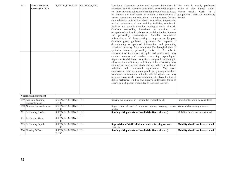| 248 | <b>VOCATIONAL</b><br><b>COUNSELLOR</b>           | S, RW, W, ST, BN, MF                                                     | OL, BL, OA, B, LV   | Vocational Counsellor guides and counsels individuals in The work is mostly performed<br>vocational choice, vocational adjustment, vocational progress, inside in well lighted rooms.<br>etc. Interviews and collects information about clients to assess Worker usually works in a<br>his strength and weaknesses in relation to requirements of group/alone It does not involve any<br>various occupations and educational training courses. Collects hazards.<br>comprehensive information about occupations, employment<br>market, education-, al and training facilities, scholarship<br>facilities and other information relating to world of work.<br>Conducts counselling interviews on vocational and<br>occupational choices in relation to special aptitudes, interests<br>and personality characteristics. Provides occupational<br>information to all those seeking it in person or by post.<br>Conducts group guidance programmes for purposes of<br>disseminating occupational information and promoting<br>vocational maturity. May administer Psychological tests of<br>aptitudes, interests, personality traits, etc. As aids in<br>assessment of individuals strengths and weaknesses. May<br>conduct surveys and studies concerning psychological<br>requirements of different occupations and problems relating to<br>adjustment and efficiency in different fields of activity. May<br>conduct job analysis and study staffing patterns in different<br>industrial and commercial organisations. May assist<br>employers in their recruitment problems by using specialised<br>techniques to determine aptitude, interest values, etc. May<br>organise career week, career exhibition, etc. Record nature of<br>duties performed; studies and surveys undertaken; types of<br>clients guided; papers contributed to technical journals. |                                   |
|-----|--------------------------------------------------|--------------------------------------------------------------------------|---------------------|---------------------------------------------------------------------------------------------------------------------------------------------------------------------------------------------------------------------------------------------------------------------------------------------------------------------------------------------------------------------------------------------------------------------------------------------------------------------------------------------------------------------------------------------------------------------------------------------------------------------------------------------------------------------------------------------------------------------------------------------------------------------------------------------------------------------------------------------------------------------------------------------------------------------------------------------------------------------------------------------------------------------------------------------------------------------------------------------------------------------------------------------------------------------------------------------------------------------------------------------------------------------------------------------------------------------------------------------------------------------------------------------------------------------------------------------------------------------------------------------------------------------------------------------------------------------------------------------------------------------------------------------------------------------------------------------------------------------------------------------------------------------------------------------------------------------------------------------------------------|-----------------------------------|
|     | <b>Nursing Superitendent</b>                     |                                                                          |                     |                                                                                                                                                                                                                                                                                                                                                                                                                                                                                                                                                                                                                                                                                                                                                                                                                                                                                                                                                                                                                                                                                                                                                                                                                                                                                                                                                                                                                                                                                                                                                                                                                                                                                                                                                                                                                                                               |                                   |
|     | 249 Assistant Nursing<br>Superintendent          | S, ST, W, BN, MF, RW, S<br>E, H, C                                       | OL                  | Serving with patients in Hospital (in General ward)                                                                                                                                                                                                                                                                                                                                                                                                                                                                                                                                                                                                                                                                                                                                                                                                                                                                                                                                                                                                                                                                                                                                                                                                                                                                                                                                                                                                                                                                                                                                                                                                                                                                                                                                                                                                           | Incumbents should be considered   |
|     | 250 Nursing Superintendent                       | S, ST, W, BN, MF, RW, S<br>E, H, C                                       | OL                  | Supervision of staff / allotment duties, keeping records With suitable aids/appliances.<br>related.                                                                                                                                                                                                                                                                                                                                                                                                                                                                                                                                                                                                                                                                                                                                                                                                                                                                                                                                                                                                                                                                                                                                                                                                                                                                                                                                                                                                                                                                                                                                                                                                                                                                                                                                                           |                                   |
|     | 251 Sr. Nursing Brother<br>252 Sr.Nursing Sister | S, ST, W, BN, MF, RW, S<br>E, H, C<br>S, ST, W, BN, MF, RW, S<br>E, H, C | OL<br>$\mathrm{OL}$ | Serving with patients in Hospital (in General ward)                                                                                                                                                                                                                                                                                                                                                                                                                                                                                                                                                                                                                                                                                                                                                                                                                                                                                                                                                                                                                                                                                                                                                                                                                                                                                                                                                                                                                                                                                                                                                                                                                                                                                                                                                                                                           | Mobility should not be restricted |
|     | 253 Sr.Nursing Suptd.                            | S, ST, W, BN, MF, RW, S<br>E, H, C                                       | OL                  | Supervision of staff / allotment duties, keeping records<br>related.                                                                                                                                                                                                                                                                                                                                                                                                                                                                                                                                                                                                                                                                                                                                                                                                                                                                                                                                                                                                                                                                                                                                                                                                                                                                                                                                                                                                                                                                                                                                                                                                                                                                                                                                                                                          | Mobility should not be restricted |
|     | 254 Nursing Officer                              | S, ST, W, BN, MF, RW, S<br>E, H, C                                       | OL                  | Serving with patients in Hospital (in General ward)                                                                                                                                                                                                                                                                                                                                                                                                                                                                                                                                                                                                                                                                                                                                                                                                                                                                                                                                                                                                                                                                                                                                                                                                                                                                                                                                                                                                                                                                                                                                                                                                                                                                                                                                                                                                           | Mobility should not be restricted |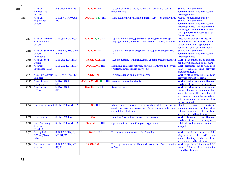| $\! + \!\!\!\!$ |                                                      |                                                    |                      |                                                                                                                                                      |                                                                                                                                                                                                                                    |
|-----------------|------------------------------------------------------|----------------------------------------------------|----------------------|------------------------------------------------------------------------------------------------------------------------------------------------------|------------------------------------------------------------------------------------------------------------------------------------------------------------------------------------------------------------------------------------|
| 255             | <b>Assistant</b><br>Anthropologist<br>(Physical)     | S.ST.W.BN.MF.RW                                    | OA.OL. HH.           | To conduct research work, collection $\&$ analysis of data $\&$<br>report making                                                                     | Should have functional<br>communication skills with assistive<br>listening devices.                                                                                                                                                |
| 256             | <b>Assistant</b><br>Employment<br>Officer            | S.ST.BN.MF.RW.SE.<br>HC                            | OA.OL. . B, LV HH    | Socio-Economic Investigation, market survey on employment                                                                                            | Mostly job performed outside.<br>Should have functional<br>communication skills with assistive<br>listening devices. The incumbent of<br>VH category should be considered<br>with appropriate software & other<br>devices support. |
| 257             | <b>Assistant Library</b><br>& Information<br>Officer | S, BN, SE, RW, MF, OA                              | OA.OL B, LV., HH     | Supervision of library, purchase of books, periodicals, up-<br>keeping of library & books, classification of books, materials.                       | Does not involve any hazard. The<br>incumbent of VH category should<br>be considered with appropriate<br>software & other devices support.                                                                                         |
| 258             | Officer<br>(Packaging)                               | Assistant Scientific S, BN, SE, RW, C MF,<br>ST, W | OA.OL. HH.           | To supervise the packaging work, to keep packaging records<br>etc.                                                                                   | Should have functional<br>communication skills with assistive<br>listening devices.                                                                                                                                                |
| 259             | <b>Assistant Seed</b><br>Officer                     | S, BN, SE, RW, MF, OA                              | <b>OA.OL. OAL HH</b> | Seed production, farm management & plant breeding research                                                                                           | Work is laboratory based Bilateral<br>hand activities should be adequate                                                                                                                                                           |
| 260             | Assistant<br>Supervisor (MIS)                        | S, BN, SE, RW, MF, OA                              | <b>OA.OL.OAL HH</b>  | Managing computer network, solving Hardware & Software<br>problems, install Servers & systems.                                                       | Work performed inside with good<br>Bilateral hand activities<br>light.<br>should be adequate                                                                                                                                       |
| 261             | <b>Asst. Environment</b><br>Engineer                 | SE, RW, ST, W, BLA                                 | <b>OA.OL.OAL HH.</b> | To prepare report on pollution control                                                                                                               | Work is office based Bilateral hand<br>activities should be adequate                                                                                                                                                               |
| 262             | <b>Asst. Manager</b><br>(Finance)                    | S, RW, BN, MF, SE,<br><b>ST</b>                    |                      | <b>OA.OL.OAL.BL</b> BLV. HH   Banking (financial related tasks)                                                                                      | Work is performed indoor. Bilateral<br>hand activities should be adequate                                                                                                                                                          |
| 263             | <b>Asst. Research</b><br>Officer                     | S, RW, BN, MF, SE,<br><b>ST</b>                    | <b>OA.OL.</b> BLV HH | Research work.                                                                                                                                       | Work is performed both indoor and<br>outdoor. Functional communication<br>skills desirable. The incumbent of<br>VH category should be considered<br>with appropriate software & other<br>devices support                           |
| 264             | <b>Botanical Assistant</b>                           | S, BN, SE, RW, MF, OA                              | OA. HH               | Maintenance of muster rolls of workers of the gardens, to<br>assist the Scientific researches & to prepare notes after<br>consultation of literature | Should<br>functional<br>have<br>communication skills with assistive<br>listening devices. Bilateral hand<br>activities should be adequate                                                                                          |
| 265             | Camera person                                        | S.BN.RW.ST.W                                       | <b>OA HH</b>         | Handling & operating camera for broadcasting                                                                                                         | Work is laboratory based, Bilateral<br>hand activities should be adequate                                                                                                                                                          |
| 266             | <b>Data Processing</b><br>Assistant<br>(Grade:A)     | S, BN, SE, RW, MF, OA                              | <b>OA.OAL.OL HH</b>  | <b>Operation Research &amp; Computer Applications</b>                                                                                                | Bilateral hand activities should be<br>adequate                                                                                                                                                                                    |
| 267             | Deputy Field<br>Officer (Photo)<br>Lab)              | S, BN, SE, RW, C,<br>MF, ST, W                     | <b>OA.OL HH</b>      | To co-ordinate the works in the Photo Lab                                                                                                            | Work is performed inside the lab.<br>May require to do outside work<br>while shooting. Bilateral hand<br>activities should be adequate                                                                                             |
| 268             | Documentation<br><b>Assistant</b>                    | S, BN, SE, RW, MF,<br>ST, W                        | <b>OA.OL.OAL HH.</b> | To keep document in library $\&$ assist the Documentation<br>officer                                                                                 | Work is performed indoor and PC<br>based, Bilateral hand activities<br>should be adequate                                                                                                                                          |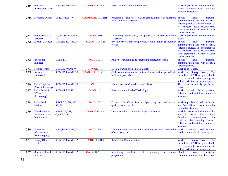| 269 | Economic<br><b>Investigator Gr-II</b>                        | S.BN.SE.RW.MF.ST                        | <b>OA.OL.OAL HH.</b>      | Research works in the field related                                                                                 | Work is performed indoor and PC<br>based, Bilateral hand activities<br>should be adequate                                                                                                         |
|-----|--------------------------------------------------------------|-----------------------------------------|---------------------------|---------------------------------------------------------------------------------------------------------------------|---------------------------------------------------------------------------------------------------------------------------------------------------------------------------------------------------|
| 270 | <b>Economic Officer</b>                                      | <b>SE.RW.MF.ST.W</b>                    | <b>OA.OL.OAL BLV HH</b>   | Processing & analysis of data regarding finance, development Should<br>under guidance of Seniors                    | have<br>functional<br>communication skill with assistive<br>listening devices. The incumbent of<br>VH category should be considered<br>with appropriate software $\&$ other<br>devices support.   |
| 271 | <b>Engineering Asst.</b><br>(SW/HW)                          | $S_{1}$ , BN SE. RW, MF, ,<br><b>ST</b> | OA.OL. HH                 | Developing applications, data process, Hardware installation<br>& services                                          | Work is performed indoor and PC<br>based                                                                                                                                                          |
| 272 | <b>Executive Officer</b>                                     | S, BN, SE, RW, MF, OA                   | <b>OA.OL.</b> BLV HH      | Execute various plan and policies, Administration & Vigilance Should<br>works                                       | have<br>functional<br>communication skill with assistive<br>listening devices. The incumbent of<br>VH category should be considered<br>with appropriate software $\&$ other<br>devices support    |
| 273 | Fabrication<br>Engineer                                      | S, SE.ST.W                              | <b>OA.OL HH</b>           | Analysis, maintaining & supervising fabrication works                                                               | Should<br>have<br>functional<br>communication skill with assistive<br>listening devices.                                                                                                          |
| 274 | <b>Graphic Artist</b>                                        | S.BN.SE.RW.MF.W                         | $.$ OA.OL HH              | Design graphic arts using Computer                                                                                  | Work is lab. Based.                                                                                                                                                                               |
| 275 | Inspector<br>(Librarian)                                     | S, BN, SE, RW, MF, OA                   | <b>OA.OL.OAL BLV. HH.</b> | Collects and disseminates information on various periodicals,<br>books and journals                                 | Work is library<br>based,<br>The<br>incumbent of VH category should<br>be considered with appropriate<br>software & other devices support                                                         |
| 276 | <b>Junior Engineer</b><br>(Air-conditioning)                 | S, BN, SE, RW, MF, OA                   | <b>OL HH</b>              | Maintenance of Centralized A/C plants                                                                               | The work is mostly performed<br>outside.                                                                                                                                                          |
| 277 | Junior Scientific<br>Officer<br>(Toxicology)                 | S.BN.MF.RW.ST                           | <b>OA.OL HH.</b>          | Research in the field of Toxicology                                                                                 | Work is mostly laboratory based,<br>Bilateral hand activities should be<br>adequate                                                                                                               |
| 278 | <b>Junior Seed</b><br>Analyst                                | S, BN, SE, RW, MF,<br>ST, W             | <b>OA.OL HH</b>           | To assist the Chief Seed Analyst, carry out various seed<br>quality analysis works                                  | Work is performed both in the lab<br>and field. Bilateral hand activities<br>should be adequate                                                                                                   |
| 279 | Librarian-cum-<br>Documentation &<br><b>Production Asst.</b> | S, BN, SE, RW,<br>C, MF, ST, W          | <b>OA.OL.OAL HH.</b>      | Documentation of modern & sophisticated data                                                                        | Work is performed inside the office<br>Should<br>and PC based.<br>have<br>functional communication skills<br>with assistive listening devices.<br>Bilateral hand activities should be<br>adequate |
| 280 | Library $\&$<br><b>Information Asst.</b><br>(Reprography)    | S, BN, SE, RW, MF, OA                   | <b>OA.OL HH</b>           | Maintain indent register, micro filming registers & collection Work is library based, Bilateral<br>of raw materials | hand activities should be adequate                                                                                                                                                                |
| 281 | <b>Library Officer</b><br>Grade III                          | S, BN, SE, RW, MF, OA                   | <b>OA.OL BLV HH</b>       | Research & Documentation                                                                                            | Work is library based,<br>The<br>incumbent of VH category should<br>be considered with appropriate<br>software & other devices support                                                            |
| 282 | <b>Manager</b> (Social<br>Safeguard                          | S, BN, SE, RW, MF, OA                   | <b>OA.OL BLV HH</b>       | development<br>Monitoring,<br>evaluation<br>$\sigma$<br>community<br>programme                                      | Should<br>have<br>functional<br>communication skills with assistive                                                                                                                               |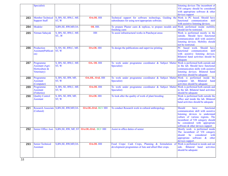|     | Specialist)             |                                          |                                                               |                                                                                         | listening devices The incumbent of    |
|-----|-------------------------|------------------------------------------|---------------------------------------------------------------|-----------------------------------------------------------------------------------------|---------------------------------------|
|     |                         |                                          |                                                               |                                                                                         | VH category should be considered      |
|     |                         |                                          |                                                               |                                                                                         | with appropriate software $\&$ other  |
|     |                         |                                          |                                                               |                                                                                         | devices support                       |
| 283 |                         | Member Technical S, BN, SE, RW,C, MF,    | <b>OA.OL HH</b>                                               | Technical support for software technology, Guiding the Work is PC based. Should have    |                                       |
|     | <b>Support Staff</b>    | ST, W                                    |                                                               | subordinates for using new/appropriate software.                                        | functional communication skill        |
|     |                         |                                          |                                                               |                                                                                         | with assistive listening devices.     |
| 284 | Modeler                 | S, BN, SE, RW, MF, OA                    | OL HH.                                                        | To prepare Plaster casts & replicas, to prepare moulds and                              | Work performed inside mobility        |
|     |                         |                                          |                                                               | finishing casts                                                                         | should not be restricted.             |
| 285 | Nirman Sahayak          | S, BN, SE, RW,C, MF,                     | <b>HH</b>                                                     | To assist infrastructural works in Panchayat areas                                      | Work is performed mostly in the       |
|     |                         | ST, W                                    |                                                               |                                                                                         | outside. Should have functional       |
|     |                         |                                          |                                                               |                                                                                         | communication skill with assistive    |
|     |                         |                                          |                                                               |                                                                                         |                                       |
|     |                         |                                          |                                                               |                                                                                         | listening devices. Mobility should    |
|     |                         |                                          |                                                               |                                                                                         | not be restricted.                    |
| 286 | Production              | S, SN, SE, RW, C, MF,                    | <b>OA.OL HH</b>                                               | To design the publications and supervise printing                                       | PC based work. Should<br>have         |
|     | Assistant(Publicati     | ST, W                                    |                                                               |                                                                                         | functional<br>communication<br>skill  |
|     | on)                     |                                          |                                                               |                                                                                         | with assistive listening devices.     |
|     |                         |                                          |                                                               |                                                                                         | Bilateral hand activities should be   |
|     |                         |                                          |                                                               |                                                                                         | adequate                              |
| 287 | Programme               | S, BN, SE, RW,C, MF,                     | OA. OL HH                                                     | To work under programme coordinator & Subject Matter Work is performed both outside and |                                       |
|     | <b>Assistant (Agri-</b> | ST, W                                    |                                                               | Specialist)                                                                             | in the lab. Should have functional    |
|     | Horticulture &          |                                          |                                                               |                                                                                         | communication skills with assistive   |
|     | Veterinary)             |                                          |                                                               |                                                                                         | listening devices. Bilateral hand     |
|     |                         |                                          |                                                               |                                                                                         | activities should be adequate         |
| 288 | Programme               | S, BN, SE, RW, MF,                       | <b>OA.OL. OAL HH</b>                                          | To work under programme coordinator & Subject Matter Work is performed inside the       |                                       |
|     | Assistant               | ST, W                                    |                                                               | Specialist)                                                                             | computer lab. Bilateral<br>hand       |
|     | (Computer)              |                                          |                                                               |                                                                                         | activities should be adequate         |
| 289 | Programme               | S, BN, SE, RW,C, MF,                     | <b>OA.OL HH</b>                                               | To work under programme coordinator & Subject Matter Work is performed both outside and |                                       |
|     | <b>Assistant</b>        | ST, W                                    |                                                               | Specialist)                                                                             | in the lab. Bilateral hand activities |
|     | (Fisheries)             |                                          |                                                               |                                                                                         | should be adequate                    |
| 290 | <b>Quality Control</b>  | S, BN, SE, RW, MF,                       | <b>OA.OL HH</b>                                               | To look after the quality of work of plant breeding                                     | Work is performed both outside the    |
|     | <b>Assistant</b>        | ST, W                                    |                                                               |                                                                                         | office and inside the lab. Bilateral  |
|     |                         |                                          |                                                               |                                                                                         | hand activities should be adequate    |
|     |                         |                                          |                                                               |                                                                                         |                                       |
| 291 |                         | Research Associate S, BN, SE, RW, MF, OA | <b>OA.OL.OAL BLV HH</b>                                       | To conduct Research work in cultural anthropology                                       | Should<br>have<br>functional          |
|     | (Cultural)              |                                          |                                                               |                                                                                         | communication skill with assistive    |
|     |                         |                                          |                                                               |                                                                                         | listening devices to understand       |
|     |                         |                                          |                                                               |                                                                                         | culture of various regions. The       |
|     |                         |                                          |                                                               |                                                                                         | incumbent of VH category should       |
|     |                         |                                          |                                                               |                                                                                         | be considered with appropriate        |
|     |                         |                                          |                                                               |                                                                                         | software & other devices support      |
| 292 |                         |                                          | Senior Office Asst. S, BN, SE, RW, MF, ST   OA.OL.OAL. BLV HH | Assist in office duties of senior                                                       | Mostly work is performed inside       |
|     |                         |                                          |                                                               |                                                                                         | The incumbent of VH category          |
|     |                         |                                          |                                                               |                                                                                         | should<br>considered<br>be<br>with    |
|     |                         |                                          |                                                               |                                                                                         | appropriate software $\&$<br>other    |
|     |                         |                                          |                                                               |                                                                                         |                                       |
|     |                         |                                          | <b>OA.OL HH</b>                                               |                                                                                         | devices support.                      |
| 293 | <b>Senior Technical</b> | S, BN, SE, RW, MF, OA                    |                                                               | Food Crops/ Cash Crops, Planning & formulation o                                        | Work is performed in inside and out   |
|     | <b>Assistant</b>        |                                          |                                                               | development programmes of Jute and allied fiber crops.                                  | side. Bilateral hand<br>activities    |
|     |                         |                                          |                                                               |                                                                                         | should be adequate                    |
|     |                         |                                          |                                                               |                                                                                         |                                       |
|     |                         |                                          |                                                               |                                                                                         |                                       |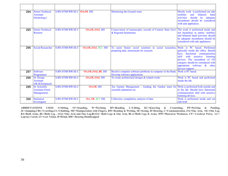| 294 | <b>Senior Technical</b><br><b>Assistant</b><br>(Hydrology) | <b>S.BN.STMF.RW.SE.C   OA.OL HH</b> |                          | Monitoring the Ground water                                                                                         | Mostly work is performed out side<br>mobility<br>and<br>bilateral<br>hand<br>activities<br>should<br>be<br>adequate<br>incumbents should be considered<br>with aids appliances.                                                                                                                      |
|-----|------------------------------------------------------------|-------------------------------------|--------------------------|---------------------------------------------------------------------------------------------------------------------|------------------------------------------------------------------------------------------------------------------------------------------------------------------------------------------------------------------------------------------------------------------------------------------------------|
| 295 | <b>Senior Technical</b><br>Restorer                        | S.BN.STMF.RW.SE.C                   | <b>OA.OL.OAL HH</b>      | Conservation of manuscripts, records of Central, State Govt.<br>& Regional Institutions                             | The work is performed inside and<br>not hazardous in nature. mobility<br>and bilateral hand activities should<br>be adequate incumbents should be<br>considered with aids appliances.                                                                                                                |
| 296 | <b>Social Researcher</b>                                   | S.BN.STMF.RW.SE.C                   | <b>OA.OL.OAL BLV. HH</b> | assist Senior social scientists in social researches,<br><b>To</b><br>preparing data, instruments for research      | Work is PC based. Performed<br>generally inside the office. Should<br>communication<br>functional<br>have<br>with<br>skill<br>assistive<br>listening<br>devices. The incumbent of VH<br>category should be considered with<br>appropriate software<br>$\boldsymbol{\&}$<br>other<br>devices support. |
| 297 | Software<br>Programmer                                     | S.BN.STMF.RW.SE.C                   | <b>OA.OL.OAL.BL HH</b>   | Resolve computer software problems in computer in the Bank<br>Develop software applications                         | Work is PC based.                                                                                                                                                                                                                                                                                    |
| 298 | Sr. Design<br><b>Assistant</b><br>GR-II(Technical)         | S.BN.STMF.RW.SE.C                   | <b>OA.OL.OAL HH</b>      | To create architectural designs & related works                                                                     | Work is PC based and performed<br>inside the lab.                                                                                                                                                                                                                                                    |
| 299 | Sr. Scientific<br><b>Assistant (Farm</b><br>Management)    | S.BN.STMF.RW.SE.C                   | <b>OA.OL HH</b>          | Tea Garden Management, Guiding the Garden team for Work is performed both outside and<br>scientific plantation etc. | in the lab. Should have functional<br>communication skill with assistive<br>listening devices.                                                                                                                                                                                                       |
| 300 | <b>Statistical</b><br>Investigator                         | S.BN.STMF.RW.SE.C                   | . OA. OL BLV HH.         | Collection, compilation, analysis of data                                                                           | Work is performed inside and out<br>side both                                                                                                                                                                                                                                                        |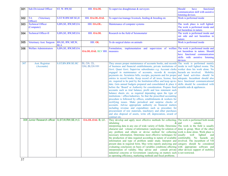| 301 | <b>Sub-Divisional Officer</b>                      | ST, W. RW, SE         | HH. OA.OL               | To supervise draughtsman & surveyors                                                                      | Should<br>have<br>functional       |
|-----|----------------------------------------------------|-----------------------|-------------------------|-----------------------------------------------------------------------------------------------------------|------------------------------------|
|     |                                                    |                       |                         |                                                                                                           | communication skill with assistive |
|     |                                                    |                       |                         |                                                                                                           | listening devices.                 |
| 302 | $T-6$<br>(Veterinary                               | S.ST.W.RW.MF.SE,H     | HH. OA.OL.OAL           | To supervise/manage livestock, feeding & breeding etc                                                     | Work is performed inside           |
|     | Officer)                                           |                       |                         |                                                                                                           |                                    |
| 303 | <b>Technical Officer</b>                           | S, BN, SE, RW, MF, OA | HH. OA.OL.              | Maintenance of computer systems                                                                           | The work place is well lighted.    |
|     | (Computer)                                         |                       |                         |                                                                                                           | The work is performed inside and   |
|     |                                                    |                       |                         |                                                                                                           | not hazardous in nature.           |
| 304 | <b>Technical Officer-II</b>                        | S, BN, SE, RW, MF, OA | HH. OA.OL               | Research in the field of Seismometer                                                                      | The work is performed inside and   |
|     |                                                    |                       |                         |                                                                                                           | out side and not hazardous in      |
|     |                                                    |                       |                         |                                                                                                           | nature.                            |
| 305 | Veterinary Asst. Surgeon                           | BN, SE, RW, MF, W,    | HH. OL                  | To do surgical duties on animals                                                                          | Work is performed inside           |
|     |                                                    | BLA                   |                         |                                                                                                           |                                    |
| 306 | <b>Welfare Administrators</b>                      | S, BN, SE, RW, MF, OA |                         | Formulation, implementation and supervision of welfare                                                    | The work is performed inside and   |
|     |                                                    |                       | <b>OA.OL.OAL BLV HH</b> | measures                                                                                                  | not hazardous in nature. Should    |
|     |                                                    |                       |                         |                                                                                                           | have functional communication      |
|     |                                                    |                       |                         |                                                                                                           | skills with assistive listening    |
| 307 | Asst. Registrar                                    | S.ST.BN.RW.SE.HC      | BL.OA. OL.              | They ensure proper maintenance of accounts books, and records The work is performed mainly                | devices                            |
|     | (Accounts)                                         |                       | <b>OAL.BLOA HH</b>      | of business and financial establishments, private institutions of                                         | inside in well lighted rooms. The  |
|     |                                                    |                       |                         | Govt. Quasi Govt. Supervise subordinates e.g. Account clerks                                              | worker does his work alone. No     |
|     |                                                    |                       |                         | engaged in maintenance of accounts, records & receipts,                                                   | hazards are involved. Mobility     |
|     |                                                    |                       |                         | payments etc. Scrutinize bills, receipts, payments and for proper                                         | and hand activities should be      |
|     |                                                    |                       |                         | entries in record books. Keep record of all taxes, license, fees                                          | adequate. Incumbent should also    |
|     |                                                    |                       |                         | etc. required to be paid by the Institution/office and keep up-to-                                        | have functional communicational    |
|     |                                                    |                       |                         | date. Gets annual budgets prepared and consolidated & place it                                            | skills should be considered with   |
|     |                                                    |                       |                         | before the 'Board' or Authority for consideration. Prepare final                                          | suitable aids & appliances.        |
|     |                                                    |                       |                         | accounts such as trial balance, profit and loss statement such                                            |                                    |
|     |                                                    |                       |                         | balance sheets etc. as required depending upon the type of                                                |                                    |
|     |                                                    |                       |                         | institutions / office/industries. So that the prescribed accounting                                       |                                    |
|     |                                                    |                       |                         | procedure is followed by offices, establishments & workers for                                            |                                    |
|     |                                                    |                       |                         | rectifying issues. Make periodical and surprise checks of                                                 |                                    |
|     |                                                    |                       |                         | accounts. Advise appropriate authority on financial matters                                               |                                    |
|     |                                                    |                       |                         | including revenue and expenditure such as procedure for                                                   |                                    |
|     |                                                    |                       |                         | procurement of raw materials, machinery and other purchases                                               |                                    |
|     |                                                    |                       |                         | and also disposal of assets, write off, depreciation, award of                                            |                                    |
|     | 308 Junior Research officer S, ST, W, RW, SE, H, C |                       | OA.OL.OAL B, LV.        | contract etc.<br>They develop and apply most effective methods for collecting,                            | The work is performed both inside  |
|     |                                                    |                       |                         | tabulating<br>&                                                                                           | outside.<br>land                   |
|     |                                                    |                       |                         | interpreting data in any one of wide variety of fields. Determine                                         | The work in the field is usually   |
|     |                                                    |                       |                         | character and volume of information $\Box$ analyzing for solution of $ $ done in group. Most of the other |                                    |
|     |                                                    |                       |                         | any problem and obtain or devise method for collecting                                                    | work is done alone. Work place is  |
|     |                                                    |                       |                         | necessary information. Determine most effective techniques for usually well                               | lighted<br>and                     |
|     |                                                    |                       |                         | the production of data required according to nature of available                                          | comfortable. No hazards are        |
|     |                                                    |                       |                         | information and type of problem under study. Interpret and                                                | involved. The incumbent of VH      |
|     |                                                    |                       |                         | present data in required form. May write reports analyzing and                                            | category should be considered      |
|     |                                                    |                       |                         | evaluating conclusion on basis of variables conditions affecting                                          | with appropriate software and      |
|     |                                                    |                       |                         | interpretation of validity. May advise and consult private                                                | other devices support of mobility  |
|     |                                                    |                       |                         | industrial concerns or Government <b>Danalyzing</b> on matters such is not restricted.                    |                                    |
|     |                                                    |                       |                         | as operating efficiency, marketing methods and fiscal problems.                                           |                                    |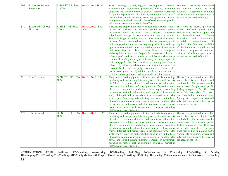| 309 | Executive, Human          | S. BN ST. SE, RW,                | <b>OA.OL.OAL B.LV.</b>  | $\Box$ analyzing $\Box$ on development, General The work is performed both inside<br>Staff training.          |                                            |
|-----|---------------------------|----------------------------------|-------------------------|---------------------------------------------------------------------------------------------------------------|--------------------------------------------|
|     | <b>Resource</b>           | C.M.H                            |                         | Administration, recruitment, promotion, transfer, discipline, and outside. Touring is also                    |                                            |
|     |                           |                                  |                         | employee welfare, settlement of disputes, seminars/workshops involved. Appropriate computer                   |                                            |
|     |                           |                                  |                         | for quality improvement, IT solutions, maintain records of staff software and aids and appliances to          |                                            |
|     |                           |                                  |                         | and families, public relations, receiving guests and making be used as per needs of the job.                  |                                            |
|     |                           |                                  |                         | arrangements, maintain seniority lists of staff members, provide                                              |                                            |
|     |                           |                                  |                         |                                                                                                               |                                            |
|     |                           |                                  |                         | information to section, works in the office.                                                                  |                                            |
| 310 | <b>Executive Trainees</b> | S.BN.ST, SE, RW,                 | <b>OA.OL.OAL. B.LV</b>  | They ensure proper maintenance of accounts, accounts books, The work is mostly performed                      |                                            |
|     | Finance                   | C.W.H                            | HH.                     | records of business and financial establishments, private inside the well lighted rooms.                      |                                            |
|     |                           |                                  |                         | institutions, Govt. or Quasi Govt. offices.                                                                   | Supervise They have to perform supervision |
|     |                           |                                  |                         | subordinates engaged in maintenance of accounts and records. and leadership role.                             | During                                     |
|     |                           |                                  |                         | Scrutinise ledger and other records. Keep record of all taxes, discussion                                     | and<br>presentation,                       |
|     |                           |                                  |                         | licenses, fees etc. required to be paid by the $\Box$ nalyzing $\Box$ on in bilaterial                        | communication<br>is                        |
|     |                           |                                  |                         | which engaged and ensure that they are paid in time and kept required. For field work mobility                |                                            |
|     |                           |                                  |                         | up-to-date.Get annual budget prepared and consolidated under of the incumbent should not be                   |                                            |
|     |                           |                                  |                         | their supervision and place it before Board or appropriate restricted. Appropriate computer                   |                                            |
|     |                           |                                  |                         | authority for consideration. Prepare final accounts such as trial software and aids and appliances to         |                                            |
|     |                           |                                  |                         | balance, profit and loss statement or such balance sheet etc. as be used as per needs of the job.             |                                            |
|     |                           |                                  |                         | required depending upon type of industry or <b>Inalyzing</b> on in                                            |                                            |
|     |                           |                                  |                         | which engaged. See that prescribed accounting procedure is                                                    |                                            |
|     |                           |                                  |                         | followed by offices, establishments and institutions as well as                                               |                                            |
|     |                           |                                  |                         | account books are properly maintained.<br>Ensure that                                                         |                                            |
|     |                           |                                  |                         | instructions given or objectioins raised are carried out or                                                   |                                            |
|     |                           |                                  |                         | rectified. Make periodical and surprise checks of accounts.                                                   |                                            |
| 311 | <b>Bank Executive</b>     | S.BN.ST, SE, RW, OA.OL.OAL. B.LV |                         | They develop and apply most effective methods for collecting, The work is performed inside. The               |                                            |
|     |                           | C.W.H                            |                         | tabulating and interpreting data in any one of the wide variety work place is well lighted and                |                                            |
|     |                           |                                  |                         |                                                                                                               |                                            |
|     |                           |                                  |                         | of fields. Determine character and volume of information comfortable. The workers usually                     |                                            |
|     |                           |                                  |                         | necessary for solution of any problem. Determine most works alone though some public                          |                                            |
|     |                           |                                  |                         | effective techniques for production of data required according dealing is required. The officer has           |                                            |
|     |                           |                                  |                         | to nature of available information and type of problem under to do field work also. The work                  |                                            |
|     |                           |                                  |                         | study. Interpret and present data in the required form. May place may be hot, humid and dusty.                |                                            |
|     |                           |                                  |                         | write reports <b>nationallyzing</b> and evaluating conclusions on the basis Appropriate computer software and |                                            |
|     |                           |                                  |                         | of variable conditions affecting interpretation of validity. May aids and appliances to be used as            |                                            |
|     |                           |                                  |                         | advise and consult private industrial concerns or government per needs of the job.                            |                                            |
|     |                           |                                  |                         | agencies on matters such as operating, efficiency, marketing                                                  |                                            |
|     |                           |                                  |                         | methods and fiscal problems.                                                                                  |                                            |
| 312 | Officer Scale-I           | S.BN.ST,                         | SE, RW, OA.OL.OAL, B.LV | They develop and apply most effective methods for collecting, The work is performed inside. The               |                                            |
|     |                           | C.W.H                            |                         | tabulating and interpreting data in any one of the wide variety work place is well lighted and                |                                            |
|     |                           |                                  |                         | of fields. Determine character and volume of information comfortable. The workers usually                     |                                            |
|     |                           |                                  |                         | necessary for solution of any problem. Determine most works alone though some public                          |                                            |
|     |                           |                                  |                         | effective techniques for production of data required according dealing is required. The officer has           |                                            |
|     |                           |                                  |                         | to nature of available information and type of problem under to do field work also. The work                  |                                            |
|     |                           |                                  |                         | study. Interpret and present data in the required form. May place may be hot, humid and dusty.                |                                            |
|     |                           |                                  |                         | write reports <b>Inalyzing</b> and evaluating conclusions on the basis Appropriate computer software and      |                                            |
|     |                           |                                  |                         | of variable conditions affecting interpretation of validity. May aids and appliances to be used as            |                                            |
|     |                           |                                  |                         | advise and consult private industrial concerns or government per needs of the job.                            |                                            |
|     |                           |                                  |                         | agencies on matters such as operating, efficiency, marketing                                                  |                                            |
|     |                           |                                  |                         | methods and fiscal problems.                                                                                  |                                            |
|     |                           |                                  |                         |                                                                                                               |                                            |

**ABBREVIATIONS USED: S=Sitting, ST=Standing, W=Wa1king, BN=Bending, L=Lifting, KC=Knee1ing & Croutching, PP=Pu11ing & Pushing, JU=Jumping,CRL=Crawling,CL=Climbing, MF=Manipu1ation with Fingers, RW=Reading & Writing, SE=Seeing, H=Hearing, C=Communication, OA=One Arm, OL=One Leg,**